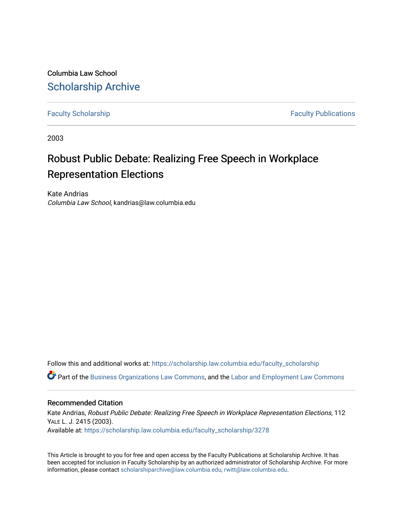Columbia Law School [Scholarship Archive](https://scholarship.law.columbia.edu/) 

[Faculty Scholarship](https://scholarship.law.columbia.edu/faculty_scholarship) **Faculty Scholarship Faculty Publications** 

2003

# Robust Public Debate: Realizing Free Speech in Workplace Representation Elections

Kate Andrias Columbia Law School, kandrias@law.columbia.edu

Follow this and additional works at: [https://scholarship.law.columbia.edu/faculty\\_scholarship](https://scholarship.law.columbia.edu/faculty_scholarship?utm_source=scholarship.law.columbia.edu%2Ffaculty_scholarship%2F3278&utm_medium=PDF&utm_campaign=PDFCoverPages)

Part of the [Business Organizations Law Commons](http://network.bepress.com/hgg/discipline/900?utm_source=scholarship.law.columbia.edu%2Ffaculty_scholarship%2F3278&utm_medium=PDF&utm_campaign=PDFCoverPages), and the [Labor and Employment Law Commons](http://network.bepress.com/hgg/discipline/909?utm_source=scholarship.law.columbia.edu%2Ffaculty_scholarship%2F3278&utm_medium=PDF&utm_campaign=PDFCoverPages)

#### Recommended Citation

Kate Andrias, Robust Public Debate: Realizing Free Speech in Workplace Representation Elections, 112 YALE L. J. 2415 (2003). Available at: [https://scholarship.law.columbia.edu/faculty\\_scholarship/3278](https://scholarship.law.columbia.edu/faculty_scholarship/3278?utm_source=scholarship.law.columbia.edu%2Ffaculty_scholarship%2F3278&utm_medium=PDF&utm_campaign=PDFCoverPages)

This Article is brought to you for free and open access by the Faculty Publications at Scholarship Archive. It has been accepted for inclusion in Faculty Scholarship by an authorized administrator of Scholarship Archive. For more information, please contact [scholarshiparchive@law.columbia.edu, rwitt@law.columbia.edu](mailto:scholarshiparchive@law.columbia.edu,%20rwitt@law.columbia.edu).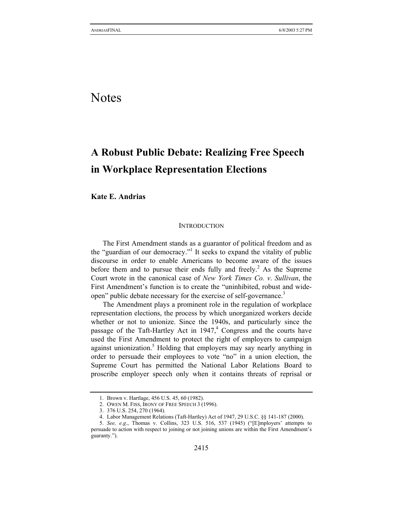# Notes

# **A Robust Public Debate: Realizing Free Speech in Workplace Representation Elections**

**Kate E. Andrias** 

#### **INTRODUCTION**

The First Amendment stands as a guarantor of political freedom and as the "guardian of our democracy."<sup>1</sup> It seeks to expand the vitality of public discourse in order to enable Americans to become aware of the issues before them and to pursue their ends fully and freely.<sup>2</sup> As the Supreme Court wrote in the canonical case of *New York Times Co. v*. *Sullivan*, the First Amendment's function is to create the "uninhibited, robust and wideopen" public debate necessary for the exercise of self-governance.<sup>3</sup>

The Amendment plays a prominent role in the regulation of workplace representation elections, the process by which unorganized workers decide whether or not to unionize. Since the 1940s, and particularly since the passage of the Taft-Hartley Act in  $1947<sup>4</sup>$  Congress and the courts have used the First Amendment to protect the right of employers to campaign against unionization.<sup>5</sup> Holding that employers may say nearly anything in order to persuade their employees to vote "no" in a union election, the Supreme Court has permitted the National Labor Relations Board to proscribe employer speech only when it contains threats of reprisal or

<sup>1.</sup> Brown v. Hartlage, 456 U.S. 45, 60 (1982).

<sup>2.</sup> OWEN M. FISS, IRONY OF FREE SPEECH 3 (1996).

<sup>3. 376</sup> U.S. 254, 270 (1964).

<sup>4.</sup> Labor Management Relations (Taft-Hartley) Act of 1947, 29 U.S.C. §§ 141-187 (2000).

<sup>5.</sup> *See, e*.*g*., Thomas v. Collins, 323 U.S. 516, 537 (1945) ("[E]mployers' attempts to persuade to action with respect to joining or not joining unions are within the First Amendment's guaranty.").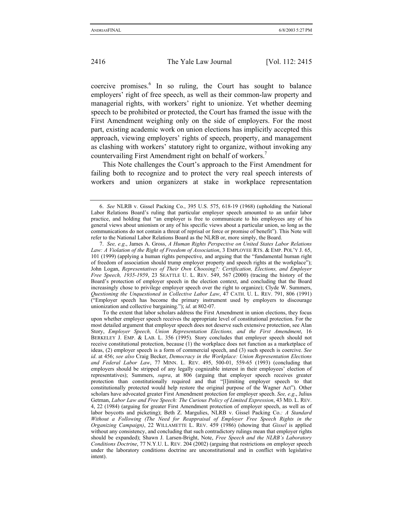coercive promises.<sup>6</sup> In so ruling, the Court has sought to balance employers' right of free speech, as well as their common-law property and managerial rights, with workers' right to unionize. Yet whether deeming speech to be prohibited or protected, the Court has framed the issue with the First Amendment weighing only on the side of employers. For the most part, existing academic work on union elections has implicitly accepted this approach, viewing employers' rights of speech, property, and management as clashing with workers' statutory right to organize, without invoking any countervailing First Amendment right on behalf of workers.<sup>7</sup>

This Note challenges the Court's approach to the First Amendment for failing both to recognize and to protect the very real speech interests of workers and union organizers at stake in workplace representation

<sup>6.</sup> *See* NLRB v. Gissel Packing Co., 395 U.S. 575, 618-19 (1968) (upholding the National Labor Relations Board's ruling that particular employer speech amounted to an unfair labor practice, and holding that "an employer is free to communicate to his employees any of his general views about unionism or any of his specific views about a particular union, so long as the communications do not contain a threat of reprisal or force or promise of benefit"). This Note will refer to the National Labor Relations Board as the NLRB or, more simply, the Board.

<sup>7.</sup> *See, e*.*g*., James A. Gross, *A Human Rights Perspective on United States Labor Relations Law: A Violation of the Right of Freedom of Association*, 3 EMPLOYEE RTS. & EMP. POL'Y J. 65, 101 (1999) (applying a human rights perspective, and arguing that the "fundamental human right of freedom of association should trump employer property and speech rights at the workplace"); John Logan, *Representatives of Their Own Choosing?: Certification, Elections, and Employer Free Speech, 1935-1959*, 23 SEATTLE U. L. REV. 549, 567 (2000) (tracing the history of the Board's protection of employer speech in the election context, and concluding that the Board increasingly chose to privilege employer speech over the right to organize); Clyde W. Summers, *Questioning the Unquestioned in Collective Labor Law*, 47 CATH. U. L. REV. 791, 806 (1991) ("Employer speech has become the primary instrument used by employers to discourage unionization and collective bargaining."); *id*. at 802-07.

To the extent that labor scholars address the First Amendment in union elections, they focus upon whether employer speech receives the appropriate level of constitutional protection. For the most detailed argument that employer speech does not deserve such extensive protection, see Alan Story, *Employer Speech, Union Representation Elections, and the First Amendment*, 16 BERKELEY J. EMP. & LAB. L. 356 (1995). Story concludes that employer speech should not receive constitutional protection, because (1) the workplace does not function as a marketplace of ideas, (2) employer speech is a form of commercial speech, and (3) such speech is coercive. *See id*. at 456; *see also* Craig Becker, *Democracy in the Workplace: Union Representation Elections and Federal Labor Law*, 77 MINN. L. REV. 495, 500-01, 559-65 (1993) (concluding that employers should be stripped of any legally cognizable interest in their employees' election of representatives); Summers, *supra*, at 806 (arguing that employer speech receives greater protection than constitutionally required and that "[l]imiting employer speech to that constitutionally protected would help restore the original purpose of the Wagner Act"). Other scholars have advocated greater First Amendment protection for employer speech. *See, e*.*g*., Julius Getman, *Labor Law and Free Speech: The Curious Policy of Limited Expression*, 43 MD. L. REV. 4, 22 (1984) (arguing for greater First Amendment protection of employer speech, as well as of labor boycotts and picketing); Beth Z. Margulies, NLRB v. Gissel Packing Co.*: A Standard Without a Following (The Need for Reappraisal of Employer Free Speech Rights in the Organizing Campaign)*, 22 WILLAMETTE L. REV. 459 (1986) (showing that *Gissel* is applied without any consistency, and concluding that such contradictory rulings mean that employer rights should be expanded); Shawn J. Larsen-Bright, Note, *Free Speech and the NLRB's Laboratory Conditions Doctrine*, 77 N.Y.U. L. REV. 204 (2002) (arguing that restrictions on employer speech under the laboratory conditions doctrine are unconstitutional and in conflict with legislative intent).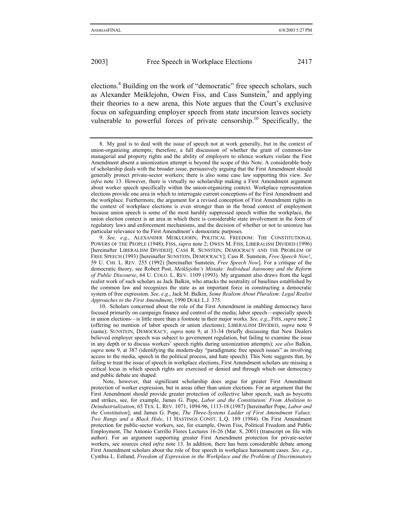elections.<sup>8</sup> Building on the work of "democratic" free speech scholars, such as Alexander Meiklejohn, Owen Fiss, and Cass Sunstein,<sup>9</sup> and applying their theories to a new arena, this Note argues that the Court's exclusive focus on safeguarding employer speech from state incursion leaves society vulnerable to powerful forces of private censorship.<sup>10</sup> Specifically, the

<sup>8.</sup> My goal is to deal with the issue of speech not at work generally, but in the context of union-organizing attempts; therefore, a full discussion of whether the grant of common-law managerial and property rights and the ability of employers to silence workers violate the First Amendment absent a unionization attempt is beyond the scope of this Note. A considerable body of scholarship deals with the broader issue, persuasively arguing that the First Amendment should generally protect private-sector workers; there is also some case law supporting this view. *See infra* note 13. However, there is virtually no scholarship making a First Amendment argument about worker speech specifically within the union-organizing context. Workplace representation elections provide one area in which to interrogate current conceptions of the First Amendment and the workplace. Furthermore, the argument for a revised conception of First Amendment rights in the context of workplace elections is even stronger than in the broad context of employment because union speech is some of the most harshly suppressed speech within the workplace, the union election context is an area in which there is considerable state involvement in the form of regulatory laws and enforcement mechanisms, and the decision of whether or not to unionize has particular relevance to the First Amendment's democratic purposes.

<sup>9.</sup> *See, e*.*g*., ALEXANDER MEIKLEJOHN, POLITICAL FREEDOM: THE CONSTITUTIONAL POWERS OF THE PEOPLE (1948); FISS, *supra* note 2; OWEN M. FISS, LIBERALISM DIVIDED (1996) [hereinafter LIBERALISM DIVIDED]; CASS R. SUNSTEIN, DEMOCRACY AND THE PROBLEM OF FREE SPEECH (1993) [hereinafter SUNSTEIN, DEMOCRACY]; Cass R. Sunstein, *Free Speech Now!*, 59 U. CHI. L. REV. 255 (1992) [hereinafter Sunstein, *Free Speech Now*]. For a critique of the democratic theory, see Robert Post, *Meiklejohn's Mistake: Individual Autonomy and the Reform of Public Discourse*, 64 U. COLO. L. REV. 1109 (1993). My argument also draws from the legal realist work of such scholars as Jack Balkin, who attacks the neutrality of baselines established by the common law and recognizes the state as an important force in constructing a democratic system of free expression. *See, e*.*g*., Jack M. Balkin, *Some Realism About Pluralism: Legal Realist Approaches to the First Amendment*, 1990 DUKE L.J. 375.

<sup>10.</sup> Scholars concerned about the role of the First Amendment in enabling democracy have focused primarily on campaign finance and control of the media; labor speech—especially speech in union elections—is little more than a footnote in their major works. *See, e*.*g*., FISS, *supra* note 2 (offering no mention of labor speech or union elections); LIBERALISM DIVIDED, *supra* note 9 (same); SUNSTEIN, DEMOCRACY, *supra* note 9, at 33-34 (briefly discussing that New Dealers believed employer speech was subject to government regulation, but failing to examine the issue in any depth or to discuss workers' speech rights during unionization attempts); *see also* Balkin, *supra* note 9, at 387 (identifying the modern-day "paradigmatic free speech issues" as involving access to the media, speech in the political process, and hate speech). This Note suggests that, by failing to treat the issue of speech in workplace elections, First Amendment scholars are missing a critical locus in which speech rights are exercised or denied and through which our democracy and public debate are shaped.

Note, however, that significant scholarship does argue for greater First Amendment protection of worker expression, but in areas other than union elections. For an argument that the First Amendment should provide greater protection of collective labor speech, such as boycotts and strikes, see, for example, James G. Pope, *Labor and the Constitution: From Abolition to Deindustrialization*, 65 TEX. L. REV. 1071, 1094-96, 1113-18 (1987) [hereinafter Pope, *Labor and the Constitution*]; and James G. Pope, *The Three-Systems Ladder of First Amendment Values: Two Rungs and a Black Hole*, 11 HASTINGS CONST. L.Q. 189 (1984). On First Amendment protection for public-sector workers, see, for example, Owen Fiss, Political Freedom and Public Employment, The Antonio Carrillo Flores Lectures 16-26 (Mar. 8, 2001) (transcript on file with author). For an argument supporting greater First Amendment protection for private-sector workers, see sources cited *infra* note 13. In addition, there has been considerable debate among First Amendment scholars about the role of free speech in workplace harassment cases. *See, e*.*g*., Cynthia L. Estlund, *Freedom of Expression in the Workplace and the Problem of Discriminatory*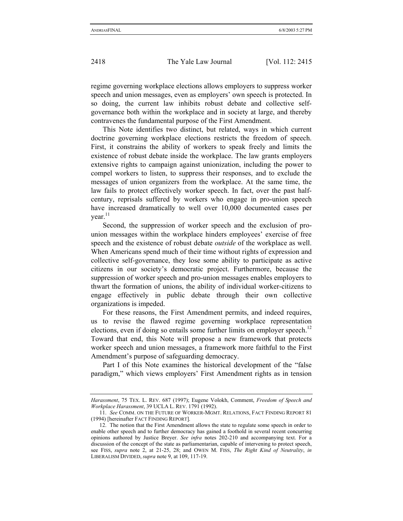regime governing workplace elections allows employers to suppress worker speech and union messages, even as employers' own speech is protected. In so doing, the current law inhibits robust debate and collective selfgovernance both within the workplace and in society at large, and thereby

contravenes the fundamental purpose of the First Amendment. This Note identifies two distinct, but related, ways in which current doctrine governing workplace elections restricts the freedom of speech. First, it constrains the ability of workers to speak freely and limits the existence of robust debate inside the workplace. The law grants employers extensive rights to campaign against unionization, including the power to compel workers to listen, to suppress their responses, and to exclude the messages of union organizers from the workplace. At the same time, the law fails to protect effectively worker speech. In fact, over the past halfcentury, reprisals suffered by workers who engage in pro-union speech have increased dramatically to well over 10,000 documented cases per vear. $^{11}$ 

Second, the suppression of worker speech and the exclusion of prounion messages within the workplace hinders employees' exercise of free speech and the existence of robust debate *outside* of the workplace as well. When Americans spend much of their time without rights of expression and collective self-governance, they lose some ability to participate as active citizens in our society's democratic project. Furthermore, because the suppression of worker speech and pro-union messages enables employers to thwart the formation of unions, the ability of individual worker-citizens to engage effectively in public debate through their own collective organizations is impeded.

For these reasons, the First Amendment permits, and indeed requires, us to revise the flawed regime governing workplace representation elections, even if doing so entails some further limits on employer speech.<sup>12</sup> Toward that end, this Note will propose a new framework that protects worker speech and union messages, a framework more faithful to the First Amendment's purpose of safeguarding democracy.

Part I of this Note examines the historical development of the "false paradigm," which views employers' First Amendment rights as in tension

*Harassment*, 75 TEX. L. REV. 687 (1997); Eugene Volokh, Comment, *Freedom of Speech and Workplace Harassment*, 39 UCLA L. REV. 1791 (1992).

<sup>11.</sup> *See* COMM. ON THE FUTURE OF WORKER-MGMT. RELATIONS, FACT FINDING REPORT 81 (1994) [hereinafter FACT FINDING REPORT].

<sup>12.</sup> The notion that the First Amendment allows the state to regulate some speech in order to enable other speech and to further democracy has gained a foothold in several recent concurring opinions authored by Justice Breyer. *See infra* notes 202-210 and accompanying text. For a discussion of the concept of the state as parliamentarian, capable of intervening to protect speech, see FISS, *supra* note 2, at 21-25, 28; and OWEN M. FISS, *The Right Kind of Neutrality*, *in*  LIBERALISM DIVIDED, *supra* note 9, at 109, 117-19.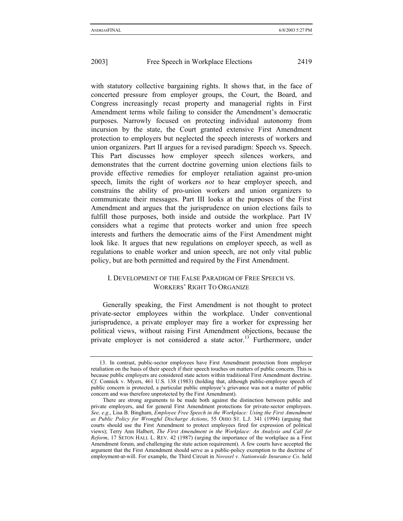with statutory collective bargaining rights. It shows that, in the face of concerted pressure from employer groups, the Court, the Board, and Congress increasingly recast property and managerial rights in First Amendment terms while failing to consider the Amendment's democratic purposes. Narrowly focused on protecting individual autonomy from incursion by the state, the Court granted extensive First Amendment protection to employers but neglected the speech interests of workers and union organizers. Part II argues for a revised paradigm: Speech vs. Speech. This Part discusses how employer speech silences workers, and demonstrates that the current doctrine governing union elections fails to provide effective remedies for employer retaliation against pro-union speech, limits the right of workers *not* to hear employer speech, and constrains the ability of pro-union workers and union organizers to communicate their messages. Part III looks at the purposes of the First Amendment and argues that the jurisprudence on union elections fails to fulfill those purposes, both inside and outside the workplace. Part IV considers what a regime that protects worker and union free speech interests and furthers the democratic aims of the First Amendment might look like. It argues that new regulations on employer speech, as well as regulations to enable worker and union speech, are not only vital public policy, but are both permitted and required by the First Amendment.

## I. DEVELOPMENT OF THE FALSE PARADIGM OF FREE SPEECH VS. WORKERS' RIGHT TO ORGANIZE

Generally speaking, the First Amendment is not thought to protect private-sector employees within the workplace. Under conventional jurisprudence, a private employer may fire a worker for expressing her political views, without raising First Amendment objections, because the private employer is not considered a state actor.<sup>13</sup> Furthermore, under

<sup>13.</sup> In contrast, public-sector employees have First Amendment protection from employer retaliation on the basis of their speech if their speech touches on matters of public concern. This is because public employers are considered state actors within traditional First Amendment doctrine. *Cf*. Connick v. Myers, 461 U.S. 138 (1983) (holding that, although public-employee speech of public concern is protected, a particular public employee's grievance was not a matter of public concern and was therefore unprotected by the First Amendment).

There are strong arguments to be made both against the distinction between public and private employers, and for general First Amendment protections for private-sector employees. *See, e*.*g*., Lisa B. Bingham, *Employee Free Speech in the Workplace: Using the First Amendment as Public Policy for Wrongful Discharge Actions*, 55 OHIO ST. L.J. 341 (1994) (arguing that courts should use the First Amendment to protect employees fired for expression of political views); Terry Ann Halbert, *The First Amendment in the Workplace: An Analysis and Call for Reform*, 17 SETON HALL L. REV. 42 (1987) (urging the importance of the workplace as a First Amendment forum, and challenging the state action requirement). A few courts have accepted the argument that the First Amendment should serve as a public-policy exemption to the doctrine of employment-at-will. For example, the Third Circuit in *Novosel v*. *Nationwide Insurance Co*. held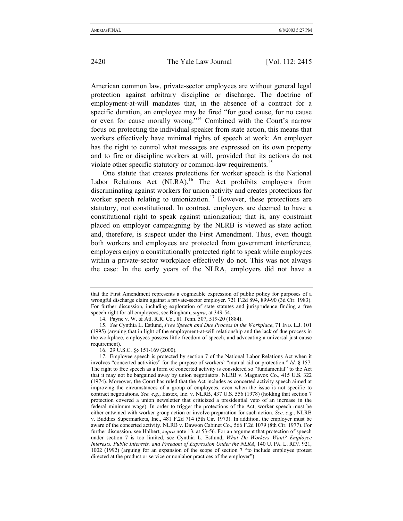American common law, private-sector employees are without general legal protection against arbitrary discipline or discharge. The doctrine of employment-at-will mandates that, in the absence of a contract for a specific duration, an employee may be fired "for good cause, for no cause or even for cause morally wrong."14 Combined with the Court's narrow focus on protecting the individual speaker from state action, this means that workers effectively have minimal rights of speech at work: An employer has the right to control what messages are expressed on its own property and to fire or discipline workers at will, provided that its actions do not violate other specific statutory or common-law requirements.<sup>15</sup>

One statute that creates protections for worker speech is the National Labor Relations Act (NLRA).<sup>16</sup> The Act prohibits employers from discriminating against workers for union activity and creates protections for worker speech relating to unionization.<sup>17</sup> However, these protections are statutory, not constitutional. In contrast, employers are deemed to have a constitutional right to speak against unionization; that is, any constraint placed on employer campaigning by the NLRB is viewed as state action and, therefore, is suspect under the First Amendment. Thus, even though both workers and employees are protected from government interference, employers enjoy a constitutionally protected right to speak while employees within a private-sector workplace effectively do not. This was not always the case: In the early years of the NLRA, employers did not have a

that the First Amendment represents a cognizable expression of public policy for purposes of a wrongful discharge claim against a private-sector employer. 721 F.2d 894, 899-90 (3d Cir. 1983). For further discussion, including exploration of state statutes and jurisprudence finding a free speech right for all employees, see Bingham, *supra*, at 349-54.

<sup>14.</sup> Payne v. W. & Atl. R.R. Co., 81 Tenn. 507, 519-20 (1884).

<sup>15.</sup> *See* Cynthia L. Estlund, *Free Speech and Due Process in the Workplace*, 71 IND. L.J. 101 (1995) (arguing that in light of the employment-at-will relationship and the lack of due process in the workplace, employees possess little freedom of speech, and advocating a universal just-cause requirement).

<sup>16. 29</sup> U.S.C. §§ 151-169 (2000).

<sup>17.</sup> Employee speech is protected by section 7 of the National Labor Relations Act when it involves "concerted activities" for the purpose of workers' "mutual aid or protection." *Id*. § 157. The right to free speech as a form of concerted activity is considered so "fundamental" to the Act that it may not be bargained away by union negotiators. NLRB v. Magnavox Co., 415 U.S. 322 (1974). Moreover, the Court has ruled that the Act includes as concerted activity speech aimed at improving the circumstances of a group of employees, even when the issue is not specific to contract negotiations. *See, e*.*g*., Eastex, Inc. v. NLRB, 437 U.S. 556 (1978) (holding that section 7 protection covered a union newsletter that criticized a presidential veto of an increase in the federal minimum wage). In order to trigger the protections of the Act, worker speech must be either entwined with worker group action or involve preparation for such action. *See, e*.*g*., NLRB v. Buddies Supermarkets, Inc., 481 F.2d 714 (5th Cir. 1973). In addition, the employer must be aware of the concerted activity. NLRB v. Dawson Cabinet Co., 566 F.2d 1079 (8th Cir. 1977). For further discussion, see Halbert, *supra* note 13, at 53-56. For an argument that protection of speech under section 7 is too limited, see Cynthia L. Estlund, *What Do Workers Want? Employee Interests, Public Interests, and Freedom of Expression Under the NLRA*, 140 U. PA. L. REV. 921, 1002 (1992) (arguing for an expansion of the scope of section 7 "to include employee protest directed at the product or service or nonlabor practices of the employer").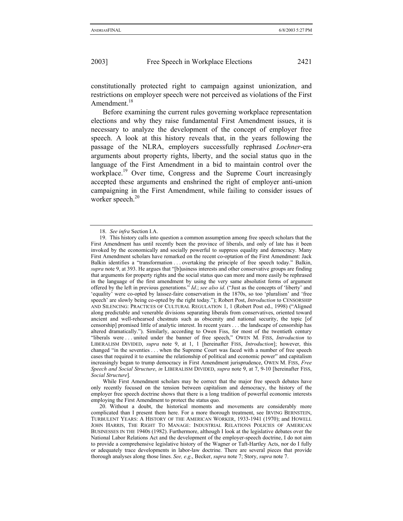constitutionally protected right to campaign against unionization, and restrictions on employer speech were not perceived as violations of the First Amendment.<sup>18</sup>

Before examining the current rules governing workplace representation elections and why they raise fundamental First Amendment issues, it is necessary to analyze the development of the concept of employer free speech. A look at this history reveals that, in the years following the passage of the NLRA, employers successfully rephrased *Lochner*-era arguments about property rights, liberty, and the social status quo in the language of the First Amendment in a bid to maintain control over the workplace.<sup>19</sup> Over time, Congress and the Supreme Court increasingly accepted these arguments and enshrined the right of employer anti-union campaigning in the First Amendment, while failing to consider issues of worker speech.<sup>20</sup>

While First Amendment scholars may be correct that the major free speech debates have only recently focused on the tension between capitalism and democracy, the history of the employer free speech doctrine shows that there is a long tradition of powerful economic interests employing the First Amendment to protect the status quo.

<sup>18.</sup> *See infra* Section I.A.

<sup>19.</sup> This history calls into question a common assumption among free speech scholars that the First Amendment has until recently been the province of liberals, and only of late has it been invoked by the economically and socially powerful to suppress equality and democracy. Many First Amendment scholars have remarked on the recent co-optation of the First Amendment: Jack Balkin identifies a "transformation . . . overtaking the principle of free speech today." Balkin, *supra* note 9, at 393. He argues that "[b]usiness interests and other conservative groups are finding that arguments for property rights and the social status quo can more and more easily be rephrased in the language of the first amendment by using the very same absolutist forms of argument offered by the left in previous generations." *Id*.; *see also id*. ("Just as the concepts of 'liberty' and 'equality' were co-opted by laissez-faire conservatism in the 1870s, so too 'pluralism' and 'free speech' are slowly being co-opted by the right today."); Robert Post, *Introduction* to CENSORSHIP AND SILENCING: PRACTICES OF CULTURAL REGULATION 1, 1 (Robert Post ed., 1998) ("Aligned along predictable and venerable divisions separating liberals from conservatives, oriented toward ancient and well-rehearsed chestnuts such as obscenity and national security, the topic [of censorship] promised little of analytic interest. In recent years . . . the landscape of censorship has altered dramatically."). Similarly, according to Owen Fiss, for most of the twentieth century "liberals were . . . united under the banner of free speech," OWEN M. FISS, *Introduction* to LIBERALISM DIVIDED, *supra* note 9, at 1, 1 [hereinafter FISS, *Introduction*]; however, this changed "in the seventies . . . when the Supreme Court was faced with a number of free speech cases that required it to examine the relationship of political and economic power" and capitalism increasingly began to trump democracy in First Amendment jurisprudence, OWEN M. FISS, *Free Speech and Social Structure*, *in* LIBERALISM DIVIDED, *supra* note 9, at 7, 9-10 [hereinafter FISS, *Social Structure*].

<sup>20.</sup> Without a doubt, the historical moments and movements are considerably more complicated than I present them here. For a more thorough treatment, see IRVING BERNSTEIN, TURBULENT YEARS: A HISTORY OF THE AMERICAN WORKER, 1933-1941 (1970); and HOWELL JOHN HARRIS, THE RIGHT TO MANAGE: INDUSTRIAL RELATIONS POLICIES OF AMERICAN BUSINESSES IN THE 1940S (1982). Furthermore, although I look at the legislative debates over the National Labor Relations Act and the development of the employer-speech doctrine, I do not aim to provide a comprehensive legislative history of the Wagner or Taft-Hartley Acts, nor do I fully or adequately trace developments in labor-law doctrine. There are several pieces that provide thorough analyses along those lines. *See, e*.*g*., Becker, *supra* note 7; Story, *supra* note 7.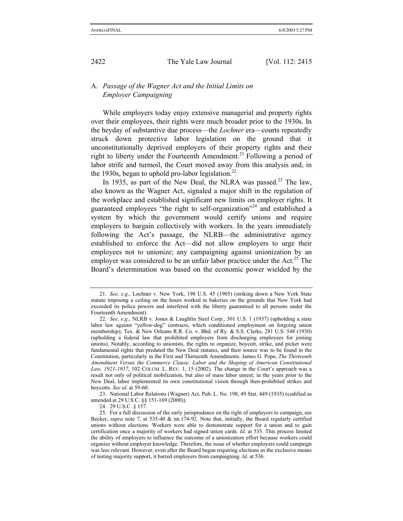## A. *Passage of the Wagner Act and the Initial Limits on Employer Campaigning*

While employers today enjoy extensive managerial and property rights over their employees, their rights were much broader prior to the 1930s. In the heyday of substantive due process—the *Lochner* era—courts repeatedly struck down protective labor legislation on the ground that it unconstitutionally deprived employers of their property rights and their right to liberty under the Fourteenth Amendment.<sup>21</sup> Following a period of labor strife and turmoil, the Court moved away from this analysis and, in the 1930s, began to uphold pro-labor legislation.<sup>22</sup>

In 1935, as part of the New Deal, the NLRA was passed.<sup>23</sup> The law, also known as the Wagner Act, signaled a major shift in the regulation of the workplace and established significant new limits on employer rights. It guaranteed employees "the right to self-organization"24 and established a system by which the government would certify unions and require employers to bargain collectively with workers. In the years immediately following the Act's passage, the NLRB—the administrative agency established to enforce the Act—did not allow employers to urge their employees not to unionize; any campaigning against unionization by an employer was considered to be an unfair labor practice under the Act.<sup>25</sup> The Board's determination was based on the economic power wielded by the

23. National Labor Relations (Wagner) Act, Pub. L. No. 198, 49 Stat. 449 (1935) (codified as amended at 29 U.S.C. §§ 151-169 (2000)).

24. 29 U.S.C. § 157.

<sup>21.</sup> *See, e*.*g*., Lochner v. New York, 198 U.S. 45 (1905) (striking down a New York State statute imposing a ceiling on the hours worked in bakeries on the grounds that New York had exceeded its police powers and interfered with the liberty guaranteed to all persons under the Fourteenth Amendment).

<sup>22.</sup> *See, e*.*g*., NLRB v. Jones & Laughlin Steel Corp., 301 U.S. 1 (1937) (upholding a state labor law against "yellow-dog" contracts, which conditioned employment on forgoing union membership); Tex. & New Orleans R.R. Co. v. Bhd. of Ry. & S.S. Clerks, 281 U.S. 548 (1930) (upholding a federal law that prohibited employers from discharging employees for joining unions). Notably, according to unionists, the rights to organize, boycott, strike, and picket were fundamental rights that predated the New Deal statutes, and their source was to be found in the Constitution, particularly in the First and Thirteenth Amendments. James G. Pope, *The Thirteenth Amendment Versus the Commerce Clause: Labor and the Shaping of American Constitutional Law, 1921-1957*, 102 COLUM. L. REV. 1, 15 (2002). The change in the Court's approach was a result not only of political mobilization, but also of mass labor unrest; in the years prior to the New Deal, labor implemented its own constitutional vision through then-prohibited strikes and boycotts. *See id*. at 59-60.

<sup>25.</sup> For a full discussion of the early jurisprudence on the right of employers to campaign, see Becker, *supra* note 7, at 535-40 & nn.174-92. Note that, initially, the Board regularly certified unions without elections. Workers were able to demonstrate support for a union and to gain certification once a majority of workers had signed union cards. *Id*. at 535. This process limited the ability of employers to influence the outcome of a unionization effort because workers could organize without employer knowledge. Therefore, the issue of whether employers could campaign was less relevant. However, even after the Board began requiring elections as the exclusive means of testing majority support, it barred employers from campaigning. *Id*. at 536.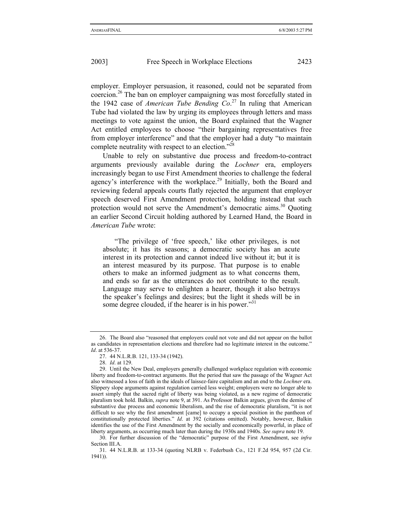employer. Employer persuasion, it reasoned, could not be separated from coercion.26 The ban on employer campaigning was most forcefully stated in the 1942 case of *American Tube Bending Co*. 27 In ruling that American Tube had violated the law by urging its employees through letters and mass meetings to vote against the union, the Board explained that the Wagner Act entitled employees to choose "their bargaining representatives free from employer interference" and that the employer had a duty "to maintain complete neutrality with respect to an election."28

Unable to rely on substantive due process and freedom-to-contract arguments previously available during the *Lochner* era, employers increasingly began to use First Amendment theories to challenge the federal agency's interference with the workplace.<sup>29</sup> Initially, both the Board and reviewing federal appeals courts flatly rejected the argument that employer speech deserved First Amendment protection, holding instead that such protection would not serve the Amendment's democratic aims.<sup>30</sup> Ouoting an earlier Second Circuit holding authored by Learned Hand, the Board in *American Tube* wrote:

"The privilege of 'free speech,' like other privileges, is not absolute; it has its seasons; a democratic society has an acute interest in its protection and cannot indeed live without it; but it is an interest measured by its purpose. That purpose is to enable others to make an informed judgment as to what concerns them, and ends so far as the utterances do not contribute to the result. Language may serve to enlighten a hearer, though it also betrays the speaker's feelings and desires; but the light it sheds will be in some degree clouded, if the hearer is in his power."<sup>31</sup>

<sup>26.</sup> The Board also "reasoned that employers could not vote and did not appear on the ballot as candidates in representation elections and therefore had no legitimate interest in the outcome." *Id*. at 536-37.

<sup>27. 44</sup> N.L.R.B. 121, 133-34 (1942).

<sup>28.</sup> *Id*. at 129.

<sup>29.</sup> Until the New Deal, employers generally challenged workplace regulation with economic liberty and freedom-to-contract arguments. But the period that saw the passage of the Wagner Act also witnessed a loss of faith in the ideals of laissez-faire capitalism and an end to the *Lochner* era. Slippery slope arguments against regulation carried less weight; employers were no longer able to assert simply that the sacred right of liberty was being violated, as a new regime of democratic pluralism took hold. Balkin, *supra* note 9, at 391. As Professor Balkin argues, given the demise of substantive due process and economic liberalism, and the rise of democratic pluralism, "it is not difficult to see why the first amendment [came] to occupy a special position in the pantheon of constitutionally protected liberties." *Id*. at 392 (citations omitted). Notably, however, Balkin identifies the use of the First Amendment by the socially and economically powerful, in place of liberty arguments, as occurring much later than during the 1930s and 1940s. *See supra* note 19.

<sup>30.</sup> For further discussion of the "democratic" purpose of the First Amendment, see *infra* Section III.A.

<sup>31. 44</sup> N.L.R.B. at 133-34 (quoting NLRB v. Federbush Co., 121 F.2d 954, 957 (2d Cir. 1941)).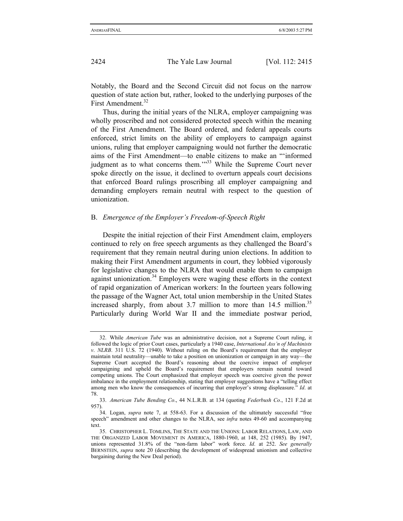Notably, the Board and the Second Circuit did not focus on the narrow question of state action but, rather, looked to the underlying purposes of the First Amendment.<sup>32</sup>

Thus, during the initial years of the NLRA, employer campaigning was wholly proscribed and not considered protected speech within the meaning of the First Amendment. The Board ordered, and federal appeals courts enforced, strict limits on the ability of employers to campaign against unions, ruling that employer campaigning would not further the democratic aims of the First Amendment—to enable citizens to make an "'informed judgment as to what concerns them."<sup>33</sup> While the Supreme Court never spoke directly on the issue, it declined to overturn appeals court decisions that enforced Board rulings proscribing all employer campaigning and demanding employers remain neutral with respect to the question of unionization.

#### B. *Emergence of the Employer's Freedom-of-Speech Right*

Despite the initial rejection of their First Amendment claim, employers continued to rely on free speech arguments as they challenged the Board's requirement that they remain neutral during union elections. In addition to making their First Amendment arguments in court, they lobbied vigorously for legislative changes to the NLRA that would enable them to campaign against unionization. $34$  Employers were waging these efforts in the context of rapid organization of American workers: In the fourteen years following the passage of the Wagner Act, total union membership in the United States increased sharply, from about 3.7 million to more than  $14.5$  million.<sup>35</sup> Particularly during World War II and the immediate postwar period,

<sup>32.</sup> While *American Tube* was an administrative decision, not a Supreme Court ruling, it followed the logic of prior Court cases, particularly a 1940 case, *International Ass'n of Machinists v*. *NLRB*. 311 U.S. 72 (1940). Without ruling on the Board's requirement that the employer maintain total neutrality—unable to take a position on unionization or campaign in any way—the Supreme Court accepted the Board's reasoning about the coercive impact of employer campaigning and upheld the Board's requirement that employers remain neutral toward competing unions. The Court emphasized that employer speech was coercive given the power imbalance in the employment relationship, stating that employer suggestions have a "telling effect among men who know the consequences of incurring that employer's strong displeasure." *Id*. at 78.

<sup>33.</sup> *American Tube Bending Co*., 44 N.L.R.B. at 134 (quoting *Federbush Co*., 121 F.2d at 957).

<sup>34.</sup> Logan, *supra* note 7, at 558-63. For a discussion of the ultimately successful "free speech" amendment and other changes to the NLRA, see *infra* notes 49-60 and accompanying text.

<sup>35.</sup> CHRISTOPHER L. TOMLINS, THE STATE AND THE UNIONS: LABOR RELATIONS, LAW, AND THE ORGANIZED LABOR MOVEMENT IN AMERICA, 1880-1960, at 148, 252 (1985). By 1947, unions represented 31.8% of the "non-farm labor" work force. *Id*. at 252. *See generally*  BERNSTEIN, *supra* note 20 (describing the development of widespread unionism and collective bargaining during the New Deal period).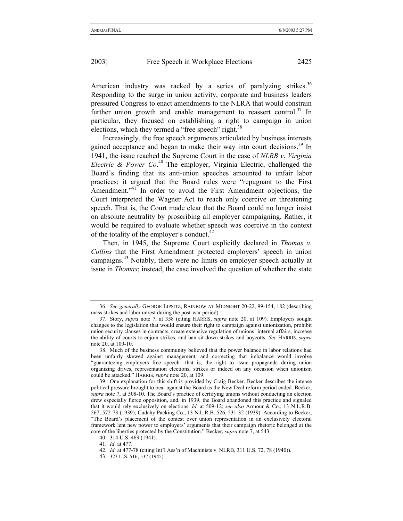American industry was racked by a series of paralyzing strikes.<sup>36</sup> Responding to the surge in union activity, corporate and business leaders pressured Congress to enact amendments to the NLRA that would constrain further union growth and enable management to reassert control.<sup>37</sup> In particular, they focused on establishing a right to campaign in union elections, which they termed a "free speech" right. $38$ 

Increasingly, the free speech arguments articulated by business interests gained acceptance and began to make their way into court decisions.<sup>39</sup> In 1941, the issue reached the Supreme Court in the case of *NLRB v*. *Virginia Electric & Power Co*. 40 The employer, Virginia Electric, challenged the Board's finding that its anti-union speeches amounted to unfair labor practices; it argued that the Board rules were "repugnant to the First Amendment."<sup>41</sup> In order to avoid the First Amendment objections, the Court interpreted the Wagner Act to reach only coercive or threatening speech. That is, the Court made clear that the Board could no longer insist on absolute neutrality by proscribing all employer campaigning. Rather, it would be required to evaluate whether speech was coercive in the context of the totality of the employer's conduct.<sup>42</sup>

Then, in 1945, the Supreme Court explicitly declared in *Thomas v*. *Collins* that the First Amendment protected employers' speech in union campaigns.43 Notably, there were no limits on employer speech actually at issue in *Thomas*; instead, the case involved the question of whether the state

<sup>36.</sup> *See generally* GEORGE LIPSITZ, RAINBOW AT MIDNIGHT 20-22, 99-154, 182 (describing mass strikes and labor unrest during the post-war period).

<sup>37.</sup> Story, *supra* note 7, at 358 (citing HARRIS, *supra* note 20, at 109). Employers sought changes to the legislation that would ensure their right to campaign against unionization, prohibit union security clauses in contracts, create extensive regulation of unions' internal affairs, increase the ability of courts to enjoin strikes, and ban sit-down strikes and boycotts. *See* HARRIS, *supra*  note 20, at 109-10.

<sup>38.</sup> Much of the business community believed that the power balance in labor relations had been unfairly skewed against management, and correcting that imbalance would involve "guaranteeing employers free speech—that is, the right to issue propaganda during union organizing drives, representation elections, strikes or indeed on any occasion when unionism could be attacked." HARRIS, *supra* note 20, at 109.

<sup>39.</sup> One explanation for this shift is provided by Craig Becker. Becker describes the intense political pressure brought to bear against the Board as the New Deal reform period ended. Becker, *supra* note 7, at 508-10. The Board's practice of certifying unions without conducting an election drew especially fierce opposition, and, in 1939, the Board abandoned this practice and signaled that it would rely exclusively on elections. *Id*. at 509-12; *see also* Armour & Co., 13 N.L.R.B. 567, 572-73 (1939); Cudahy Packing Co., 13 N.L.R.B. 526, 531-32 (1939). According to Becker, "The Board's placement of the contest over union representation in an exclusively electoral framework lent new power to employers' arguments that their campaign rhetoric belonged at the core of the liberties protected by the Constitution." Becker, *supra* note 7, at 543.

<sup>40. 314</sup> U.S. 469 (1941).

<sup>41.</sup> *Id*. at 477.

<sup>42.</sup> *Id*. at 477-78 (citing Int'l Ass'n of Machinists v. NLRB, 311 U.S. 72, 78 (1940)).

<sup>43.</sup> 323 U.S. 516, 537 (1945).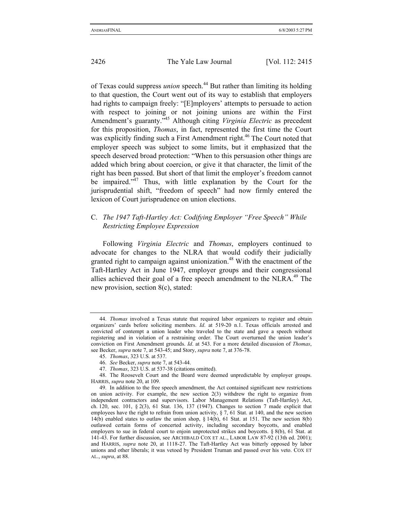of Texas could suppress *union* speech.<sup>44</sup> But rather than limiting its holding to that question, the Court went out of its way to establish that employers had rights to campaign freely: "[E]mployers' attempts to persuade to action with respect to joining or not joining unions are within the First Amendment's guaranty."45 Although citing *Virginia Electric* as precedent for this proposition, *Thomas*, in fact, represented the first time the Court was explicitly finding such a First Amendment right.<sup>46</sup> The Court noted that employer speech was subject to some limits, but it emphasized that the speech deserved broad protection: "When to this persuasion other things are added which bring about coercion, or give it that character, the limit of the right has been passed. But short of that limit the employer's freedom cannot be impaired."<sup>47</sup> Thus, with little explanation by the Court for the jurisprudential shift, "freedom of speech" had now firmly entered the lexicon of Court jurisprudence on union elections.

# C. *The 1947 Taft-Hartley Act: Codifying Employer "Free Speech" While Restricting Employee Expression*

Following *Virginia Electric* and *Thomas*, employers continued to advocate for changes to the NLRA that would codify their judicially granted right to campaign against unionization.<sup>48</sup> With the enactment of the Taft-Hartley Act in June 1947, employer groups and their congressional allies achieved their goal of a free speech amendment to the NLRA.<sup>49</sup> The new provision, section 8(c), stated:

<sup>44.</sup> *Thomas* involved a Texas statute that required labor organizers to register and obtain organizers' cards before soliciting members. *Id*. at 519-20 n.1. Texas officials arrested and convicted of contempt a union leader who traveled to the state and gave a speech without registering and in violation of a restraining order. The Court overturned the union leader's conviction on First Amendment grounds. *Id*. at 543. For a more detailed discussion of *Thomas*, see Becker, *supra* note 7, at 543-45; and Story, *supra* note 7, at 376-78.

<sup>45.</sup> *Thomas*, 323 U.S. at 537.

<sup>46.</sup> *See* Becker, *supra* note 7, at 543-44.

<sup>47.</sup> *Thomas*, 323 U.S. at 537-38 (citations omitted).

<sup>48.</sup> The Roosevelt Court and the Board were deemed unpredictable by employer groups. HARRIS, *supra* note 20, at 109.

<sup>49.</sup> In addition to the free speech amendment, the Act contained significant new restrictions on union activity. For example, the new section 2(3) withdrew the right to organize from independent contractors and supervisors. Labor Management Relations (Taft-Hartley) Act, ch. 120, sec. 101,  $\S 2(3)$ , 61 Stat. 136, 137 (1947). Changes to section 7 made explicit that employees have the right to refrain from union activity, § 7, 61 Stat. at 140, and the new section 14(b) enabled states to outlaw the union shop, § 14(b), 61 Stat. at 151. The new section 8(b) outlawed certain forms of concerted activity, including secondary boycotts, and enabled employers to sue in federal court to enjoin unprotected strikes and boycotts. § 8(b), 61 Stat. at 141-43. For further discussion, see ARCHIBALD COX ET AL., LABOR LAW 87-92 (13th ed. 2001); and HARRIS, *supra* note 20, at 1118-27. The Taft-Hartley Act was bitterly opposed by labor unions and other liberals; it was vetoed by President Truman and passed over his veto. COX ET AL., *supra*, at 88.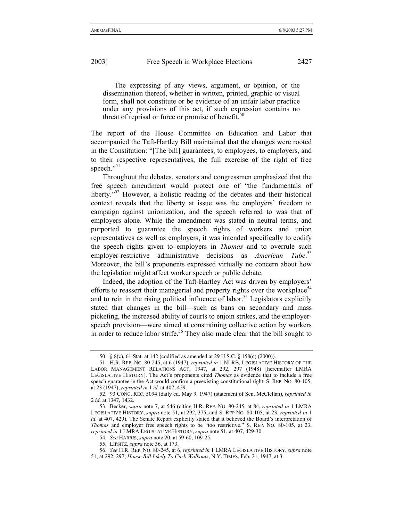The expressing of any views, argument, or opinion, or the dissemination thereof, whether in written, printed, graphic or visual form, shall not constitute or be evidence of an unfair labor practice under any provisions of this act, if such expression contains no threat of reprisal or force or promise of benefit.<sup>50</sup>

The report of the House Committee on Education and Labor that accompanied the Taft-Hartley Bill maintained that the changes were rooted in the Constitution: "[The bill] guarantees, to employees, to employers, and to their respective representatives, the full exercise of the right of free speech." $51$ 

Throughout the debates, senators and congressmen emphasized that the free speech amendment would protect one of "the fundamentals of liberty.<sup>52</sup> However, a holistic reading of the debates and their historical context reveals that the liberty at issue was the employers' freedom to campaign against unionization, and the speech referred to was that of employers alone. While the amendment was stated in neutral terms, and purported to guarantee the speech rights of workers and union representatives as well as employers, it was intended specifically to codify the speech rights given to employers in *Thomas* and to overrule such employer-restrictive administrative decisions as *American*  $Tube.$ <sup>53</sup> Moreover, the bill's proponents expressed virtually no concern about how the legislation might affect worker speech or public debate.

Indeed, the adoption of the Taft-Hartley Act was driven by employers' efforts to reassert their managerial and property rights over the workplace<sup>54</sup> and to rein in the rising political influence of labor.<sup>55</sup> Legislators explicitly stated that changes in the bill—such as bans on secondary and mass picketing, the increased ability of courts to enjoin strikes, and the employerspeech provision—were aimed at constraining collective action by workers in order to reduce labor strife.<sup>56</sup> They also made clear that the bill sought to

<sup>50. § 8(</sup>c), 61 Stat. at 142 (codified as amended at 29 U.S.C. § 158(c) (2000)).

<sup>51.</sup> H.R. REP. NO. 80-245, at 6 (1947), *reprinted in* 1 NLRB, LEGISLATIVE HISTORY OF THE LABOR MANAGEMENT RELATIONS ACT, 1947, at 292, 297 (1948) [hereinafter LMRA LEGISLATIVE HISTORY]. The Act's proponents cited *Thomas* as evidence that to include a free speech guarantee in the Act would confirm a preexisting constitutional right. S. REP. NO. 80-105, at 23 (1947), *reprinted in* 1 *id*. at 407, 429.

<sup>52. 93</sup> CONG. REC. 5094 (daily ed. May 9, 1947) (statement of Sen. McClellan), *reprinted in* 2 *id*. at 1347, 1432.

<sup>53.</sup> Becker, *supra* note 7, at 546 (citing H.R. REP. NO. 80-245, at 84, *reprinted in* 1 LMRA LEGISLATIVE HISTORY, *supra* note 51, at 292, 375, and S. REP NO. 80-105, at 23, *reprinted in* 1 *id.* at 407, 429). The Senate Report explicitly stated that it believed the Board's interpretation of *Thomas* and employer free speech rights to be "too restrictive." S. REP. NO. 80-105, at 23, *reprinted in* 1 LMRA LEGISLATIVE HISTORY, *supra* note 51, at 407, 429-30.

<sup>54.</sup> *See* HARRIS, *supra* note 20, at 59-60, 109-25.

<sup>55.</sup> LIPSITZ, *supra* note 36, at 173.

<sup>56.</sup> *See* H.R. REP. NO. 80-245, at 6, *reprinted in* 1 LMRA LEGISLATIVE HISTORY, *supra* note 51, at 292, 297; *House Bill Likely To Curb Walkouts*, N.Y. TIMES, Feb. 21, 1947, at 3.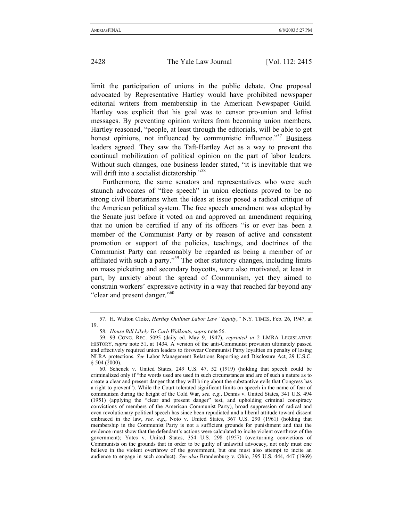limit the participation of unions in the public debate. One proposal advocated by Representative Hartley would have prohibited newspaper editorial writers from membership in the American Newspaper Guild. Hartley was explicit that his goal was to censor pro-union and leftist messages. By preventing opinion writers from becoming union members, Hartley reasoned, "people, at least through the editorials, will be able to get honest opinions, not influenced by communistic influence."<sup>57</sup> Business leaders agreed. They saw the Taft-Hartley Act as a way to prevent the continual mobilization of political opinion on the part of labor leaders. Without such changes, one business leader stated, "it is inevitable that we will drift into a socialist dictatorship."<sup>58</sup>

Furthermore, the same senators and representatives who were such staunch advocates of "free speech" in union elections proved to be no strong civil libertarians when the ideas at issue posed a radical critique of the American political system. The free speech amendment was adopted by the Senate just before it voted on and approved an amendment requiring that no union be certified if any of its officers "is or ever has been a member of the Communist Party or by reason of active and consistent promotion or support of the policies, teachings, and doctrines of the Communist Party can reasonably be regarded as being a member of or affiliated with such a party."59 The other statutory changes, including limits on mass picketing and secondary boycotts, were also motivated, at least in part, by anxiety about the spread of Communism, yet they aimed to constrain workers' expressive activity in a way that reached far beyond any "clear and present danger."<sup>60</sup>

<sup>57.</sup> H. Walton Cloke, *Hartley Outlines Labor Law "Equity*,*"* N.Y. TIMES, Feb. 26, 1947, at 19.

<sup>58.</sup> *House Bill Likely To Curb Walkouts*, *supra* note 56.

<sup>59. 93</sup> CONG. REC. 5095 (daily ed. May 9, 1947), *reprinted in* 2 LMRA LEGISLATIVE HISTORY, *supra* note 51, at 1434. A version of the anti-Communist provision ultimately passed and effectively required union leaders to forswear Communist Party loyalties on penalty of losing NLRA protections. *See* Labor Management Relations Reporting and Disclosure Act, 29 U.S.C. § 504 (2000).

<sup>60.</sup> Schenck v. United States, 249 U.S. 47, 52 (1919) (holding that speech could be criminalized only if "the words used are used in such circumstances and are of such a nature as to create a clear and present danger that they will bring about the substantive evils that Congress has a right to prevent"). While the Court tolerated significant limits on speech in the name of fear of communism during the height of the Cold War, *see, e*.*g*., Dennis v. United States, 341 U.S. 494 (1951) (applying the "clear and present danger" test, and upholding criminal conspiracy convictions of members of the American Communist Party), broad suppression of radical and even revolutionary political speech has since been repudiated and a liberal attitude toward dissent embraced in the law, *see, e*.*g*., Noto v. United States, 367 U.S. 290 (1961) (holding that membership in the Communist Party is not a sufficient grounds for punishment and that the evidence must show that the defendant's actions were calculated to incite violent overthrow of the government); Yates v. United States, 354 U.S. 298 (1957) (overturning convictions of Communists on the grounds that in order to be guilty of unlawful advocacy, not only must one believe in the violent overthrow of the government, but one must also attempt to incite an audience to engage in such conduct). *See also* Brandenburg v. Ohio, 395 U.S. 444, 447 (1969)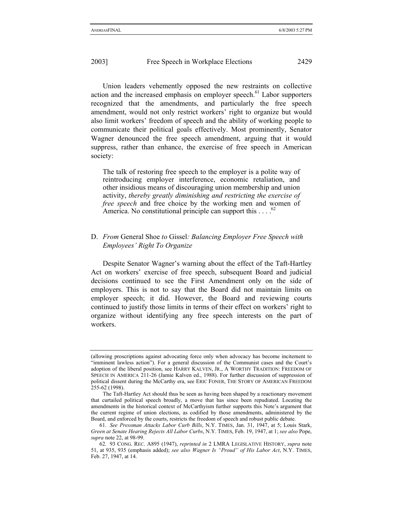Union leaders vehemently opposed the new restraints on collective action and the increased emphasis on employer speech. $61$  Labor supporters recognized that the amendments, and particularly the free speech amendment, would not only restrict workers' right to organize but would also limit workers' freedom of speech and the ability of working people to communicate their political goals effectively. Most prominently, Senator Wagner denounced the free speech amendment, arguing that it would suppress, rather than enhance, the exercise of free speech in American society:

The talk of restoring free speech to the employer is a polite way of reintroducing employer interference, economic retaliation, and other insidious means of discouraging union membership and union activity, *thereby greatly diminishing and restricting the exercise of free speech* and free choice by the working men and women of America. No constitutional principle can support this . . . .<sup>6</sup>

## D. *From* General Shoe *to* Gissel*: Balancing Employer Free Speech with Employees' Right To Organize*

Despite Senator Wagner's warning about the effect of the Taft-Hartley Act on workers' exercise of free speech, subsequent Board and judicial decisions continued to see the First Amendment only on the side of employers. This is not to say that the Board did not maintain limits on employer speech; it did. However, the Board and reviewing courts continued to justify those limits in terms of their effect on workers' right to organize without identifying any free speech interests on the part of workers.

<sup>(</sup>allowing proscriptions against advocating force only when advocacy has become incitement to "imminent lawless action"). For a general discussion of the Communist cases and the Court's adoption of the liberal position, see HARRY KALVEN, JR., A WORTHY TRADITION: FREEDOM OF SPEECH IN AMERICA 211-26 (Jamie Kalven ed., 1988). For further discussion of suppression of political dissent during the McCarthy era, see ERIC FONER, THE STORY OF AMERICAN FREEDOM 255-62 (1998).

The Taft-Hartley Act should thus be seen as having been shaped by a reactionary movement that curtailed political speech broadly, a move that has since been repudiated. Locating the amendments in the historical context of McCarthyism further supports this Note's argument that the current regime of union elections, as codified by those amendments, administered by the Board, and enforced by the courts, restricts the freedom of speech and robust public debate.

<sup>61.</sup> *See Pressman Attacks Labor Curb Bills*, N.Y. TIMES, Jan. 31, 1947, at 5; Louis Stark, *Green at Senate Hearing Rejects All Labor Curbs*, N.Y. TIMES, Feb. 19, 1947, at 1; *see also* Pope, *supra* note 22, at 98-99.

<sup>62. 93</sup> CONG. REC. A895 (1947), *reprinted in* 2 LMRA LEGISLATIVE HISTORY, *supra* note 51, at 935, 935 (emphasis added); *see also Wagner Is "Proud" of His Labor Act*, N.Y. TIMES, Feb. 27, 1947, at 14.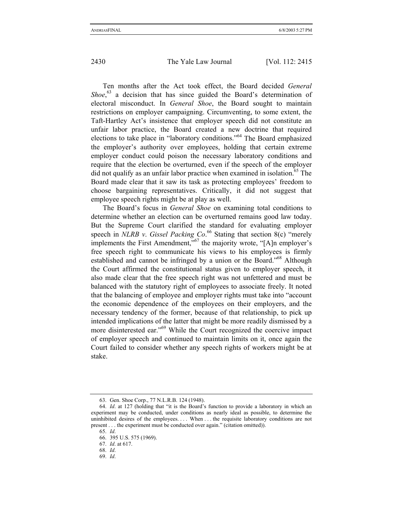Ten months after the Act took effect, the Board decided *General*  Shoe,<sup>63</sup> a decision that has since guided the Board's determination of electoral misconduct. In *General Shoe*, the Board sought to maintain restrictions on employer campaigning. Circumventing, to some extent, the Taft-Hartley Act's insistence that employer speech did not constitute an unfair labor practice, the Board created a new doctrine that required elections to take place in "laboratory conditions."64 The Board emphasized the employer's authority over employees, holding that certain extreme employer conduct could poison the necessary laboratory conditions and require that the election be overturned, even if the speech of the employer did not qualify as an unfair labor practice when examined in isolation.<sup>65</sup> The Board made clear that it saw its task as protecting employees' freedom to choose bargaining representatives. Critically, it did not suggest that employee speech rights might be at play as well.

The Board's focus in *General Shoe* on examining total conditions to determine whether an election can be overturned remains good law today. But the Supreme Court clarified the standard for evaluating employer speech in *NLRB v*. *Gissel Packing Co*. 66 Stating that section 8(c) "merely implements the First Amendment,"67 the majority wrote, "[A]n employer's free speech right to communicate his views to his employees is firmly established and cannot be infringed by a union or the Board."68 Although the Court affirmed the constitutional status given to employer speech, it also made clear that the free speech right was not unfettered and must be balanced with the statutory right of employees to associate freely. It noted that the balancing of employee and employer rights must take into "account the economic dependence of the employees on their employers, and the necessary tendency of the former, because of that relationship, to pick up intended implications of the latter that might be more readily dismissed by a more disinterested ear."69 While the Court recognized the coercive impact of employer speech and continued to maintain limits on it, once again the Court failed to consider whether any speech rights of workers might be at stake.

<sup>63.</sup> Gen. Shoe Corp., 77 N.L.R.B. 124 (1948).

<sup>64.</sup> *Id*. at 127 (holding that "it is the Board's function to provide a laboratory in which an experiment may be conducted, under conditions as nearly ideal as possible, to determine the uninhibited desires of the employees.... When ... the requisite laboratory conditions are not present . . . the experiment must be conducted over again." (citation omitted)).

<sup>65.</sup> *Id*.

<sup>66. 395</sup> U.S. 575 (1969).

<sup>67.</sup> *Id*. at 617.

<sup>68.</sup> *Id*.

<sup>69.</sup> *Id*.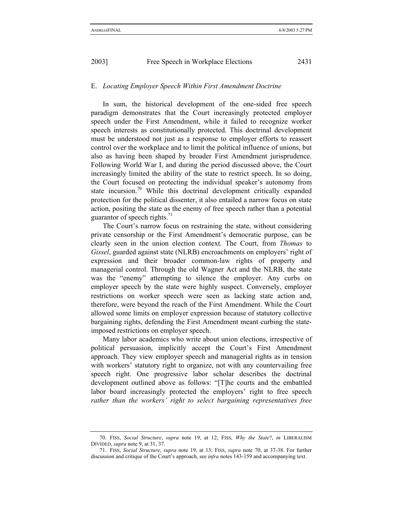## E. *Locating Employer Speech Within First Amendment Doctrine*

In sum, the historical development of the one-sided free speech paradigm demonstrates that the Court increasingly protected employer speech under the First Amendment, while it failed to recognize worker speech interests as constitutionally protected. This doctrinal development must be understood not just as a response to employer efforts to reassert control over the workplace and to limit the political influence of unions, but also as having been shaped by broader First Amendment jurisprudence. Following World War I, and during the period discussed above, the Court increasingly limited the ability of the state to restrict speech. In so doing, the Court focused on protecting the individual speaker's autonomy from state incursion.<sup>70</sup> While this doctrinal development critically expanded protection for the political dissenter, it also entailed a narrow focus on state action, positing the state as the enemy of free speech rather than a potential guarantor of speech rights. $71$ 

The Court's narrow focus on restraining the state, without considering private censorship or the First Amendment's democratic purpose, can be clearly seen in the union election context. The Court, from *Thomas* to *Gissel*, guarded against state (NLRB) encroachments on employers' right of expression and their broader common-law rights of property and managerial control. Through the old Wagner Act and the NLRB, the state was the "enemy" attempting to silence the employer. Any curbs on employer speech by the state were highly suspect. Conversely, employer restrictions on worker speech were seen as lacking state action and, therefore, were beyond the reach of the First Amendment. While the Court allowed some limits on employer expression because of statutory collective bargaining rights, defending the First Amendment meant curbing the stateimposed restrictions on employer speech.

Many labor academics who write about union elections, irrespective of political persuasion, implicitly accept the Court's First Amendment approach. They view employer speech and managerial rights as in tension with workers' statutory right to organize, not with any countervailing free speech right. One progressive labor scholar describes the doctrinal development outlined above as follows: "[T]he courts and the embattled labor board increasingly protected the employers' right to free speech *rather than the workers' right to select bargaining representatives free* 

<sup>70.</sup> FISS, *Social Structure*, *supra* note 19, at 12; FISS, *Why the State*?, *in* LIBERALISM DIVIDED, *supra* note 9, at 31, 37.

<sup>71.</sup> FISS, *Social Structure*, *supra* note 19, at 13; FISS, *supra* note 70, at 37-38. For further discussion and critique of the Court's approach, see *infra* notes 143-159 and accompanying text.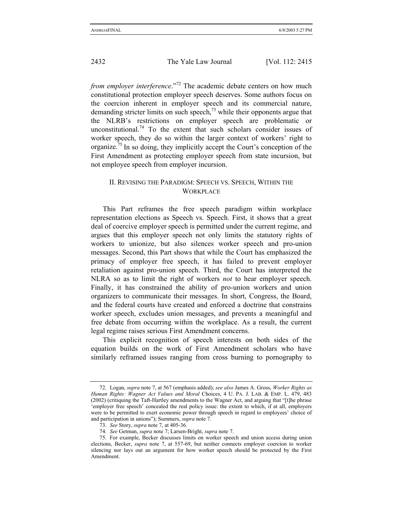*from employer interference*."<sup>72</sup> The academic debate centers on how much constitutional protection employer speech deserves. Some authors focus on the coercion inherent in employer speech and its commercial nature, demanding stricter limits on such speech, $^{73}$  while their opponents argue that the NLRB's restrictions on employer speech are problematic or unconstitutional.<sup>74</sup> To the extent that such scholars consider issues of worker speech, they do so within the larger context of workers' right to organize.75 In so doing, they implicitly accept the Court's conception of the First Amendment as protecting employer speech from state incursion, but not employee speech from employer incursion.

## II. REVISING THE PARADIGM: SPEECH VS. SPEECH, WITHIN THE **WORKPLACE**

This Part reframes the free speech paradigm within workplace representation elections as Speech vs. Speech. First, it shows that a great deal of coercive employer speech is permitted under the current regime, and argues that this employer speech not only limits the statutory rights of workers to unionize, but also silences worker speech and pro-union messages. Second, this Part shows that while the Court has emphasized the primacy of employer free speech, it has failed to prevent employer retaliation against pro-union speech. Third, the Court has interpreted the NLRA so as to limit the right of workers *not* to hear employer speech. Finally, it has constrained the ability of pro-union workers and union organizers to communicate their messages. In short, Congress, the Board, and the federal courts have created and enforced a doctrine that constrains worker speech, excludes union messages, and prevents a meaningful and free debate from occurring within the workplace. As a result, the current legal regime raises serious First Amendment concerns.

This explicit recognition of speech interests on both sides of the equation builds on the work of First Amendment scholars who have similarly reframed issues ranging from cross burning to pornography to

<sup>72.</sup> Logan, *supra* note 7, at 567 (emphasis added); *see also* James A. Gross, *Worker Rights as Human Rights: Wagner Act Values and Moral* Choices, 4 U. PA. J. LAB. & EMP. L. 479, 483 (2002) (critiquing the Taft-Hartley amendments to the Wagner Act, and arguing that "[t]he phrase 'employer free speech' concealed the real policy issue: the extent to which, if at all, employers were to be permitted to exert economic power through speech in regard to employees' choice of and participation in unions"); Summers, *supra* note 7.

<sup>73.</sup> *See* Story, *supra* note 7, at 405-36.

<sup>74.</sup> *See* Getman, *supra* note 7; Larsen-Bright, *supra* note 7.

<sup>75.</sup> For example, Becker discusses limits on worker speech and union access during union elections, Becker, *supra* note 7, at 557-69, but neither connects employer coercion to worker silencing nor lays out an argument for how worker speech should be protected by the First Amendment.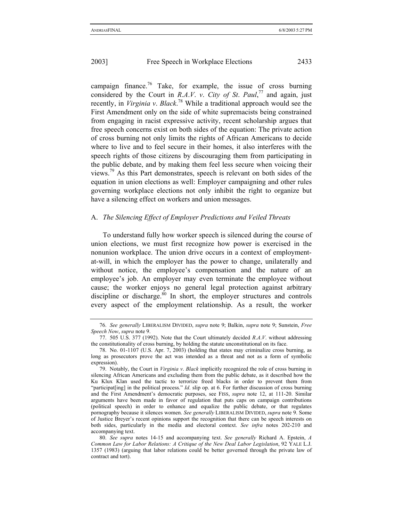campaign finance.<sup>76</sup> Take, for example, the issue of cross burning considered by the Court in *R.A.V.* v. City of St. Paul,<sup>77</sup> and again, just recently, in *Virginia v*. *Black*. 78 While a traditional approach would see the First Amendment only on the side of white supremacists being constrained from engaging in racist expressive activity, recent scholarship argues that free speech concerns exist on both sides of the equation: The private action of cross burning not only limits the rights of African Americans to decide where to live and to feel secure in their homes, it also interferes with the speech rights of those citizens by discouraging them from participating in the public debate, and by making them feel less secure when voicing their

views.<sup>79</sup> As this Part demonstrates, speech is relevant on both sides of the equation in union elections as well: Employer campaigning and other rules governing workplace elections not only inhibit the right to organize but have a silencing effect on workers and union messages.

#### A. *The Silencing Effect of Employer Predictions and Veiled Threats*

To understand fully how worker speech is silenced during the course of union elections, we must first recognize how power is exercised in the nonunion workplace. The union drive occurs in a context of employmentat-will, in which the employer has the power to change, unilaterally and without notice, the employee's compensation and the nature of an employee's job. An employer may even terminate the employee without cause; the worker enjoys no general legal protection against arbitrary discipline or discharge. $80$  In short, the employer structures and controls every aspect of the employment relationship. As a result, the worker

<sup>76.</sup> *See generally* LIBERALISM DIVIDED, *supra* note 9; Balkin, *supra* note 9; Sunstein, *Free Speech Now*, *supra* note 9.

<sup>77. 505</sup> U.S. 377 (1992). Note that the Court ultimately decided *R*.*A*.*V*. without addressing the constitutionality of cross burning, by holding the statute unconstitutional on its face.

<sup>78.</sup> No. 01-1107 (U.S. Apr. 7, 2003) (holding that states may criminalize cross burning, as long as prosecutors prove the act was intended as a threat and not as a form of symbolic expression).

<sup>79.</sup> Notably, the Court in *Virginia v*. *Black* implicitly recognized the role of cross burning in silencing African Americans and excluding them from the public debate, as it described how the Ku Klux Klan used the tactic to terrorize freed blacks in order to prevent them from "participat[ing] in the political process." *Id*. slip op. at 6. For further discussion of cross burning and the First Amendment's democratic purposes, see FISS, *supra* note 12, at 111-20. Similar arguments have been made in favor of regulation that puts caps on campaign contributions (political speech) in order to enhance and equalize the public debate, or that regulates pornography because it silences women. *See generally* LIBERALISM DIVIDED, *supra* note 9. Some of Justice Breyer's recent opinions support the recognition that there can be speech interests on both sides, particularly in the media and electoral context. *See infra* notes 202-210 and accompanying text.

<sup>80.</sup> *See supra* notes 14-15 and accompanying text. *See generally* Richard A. Epstein, *A Common Law for Labor Relations: A Critique of the New Deal Labor Legislation*, 92 YALE L.J. 1357 (1983) (arguing that labor relations could be better governed through the private law of contract and tort).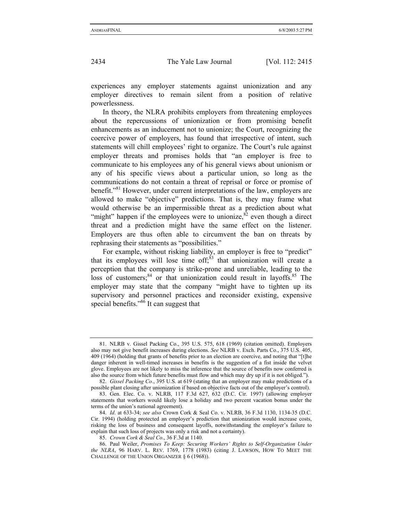experiences any employer statements against unionization and any employer directives to remain silent from a position of relative powerlessness.

In theory, the NLRA prohibits employers from threatening employees about the repercussions of unionization or from promising benefit enhancements as an inducement not to unionize; the Court, recognizing the coercive power of employers, has found that irrespective of intent, such statements will chill employees' right to organize. The Court's rule against employer threats and promises holds that "an employer is free to communicate to his employees any of his general views about unionism or any of his specific views about a particular union, so long as the communications do not contain a threat of reprisal or force or promise of benefit."81 However, under current interpretations of the law, employers are allowed to make "objective" predictions. That is, they may frame what would otherwise be an impermissible threat as a prediction about what "might" happen if the employees were to unionize,  ${}^{82}$  even though a direct threat and a prediction might have the same effect on the listener. Employers are thus often able to circumvent the ban on threats by rephrasing their statements as "possibilities."

For example, without risking liability, an employer is free to "predict" that its employees will lose time off; $83$  that unionization will create a perception that the company is strike-prone and unreliable, leading to the loss of customers;<sup>84</sup> or that unionization could result in layoffs.<sup>85</sup> The employer may state that the company "might have to tighten up its supervisory and personnel practices and reconsider existing, expensive special benefits."<sup>86</sup> It can suggest that

<sup>81.</sup> NLRB v. Gissel Packing Co., 395 U.S. 575, 618 (1969) (citation omitted). Employers also may not give benefit increases during elections. *See* NLRB v. Exch. Parts Co., 375 U.S. 405, 409 (1964) (holding that grants of benefits prior to an election are coercive, and noting that "[t]he danger inherent in well-timed increases in benefits is the suggestion of a fist inside the velvet glove. Employees are not likely to miss the inference that the source of benefits now conferred is also the source from which future benefits must flow and which may dry up if it is not obliged.").

<sup>82.</sup> *Gissel Packing Co*., 395 U.S. at 619 (stating that an employer may make predictions of a possible plant closing after unionization if based on objective facts out of the employer's control).

<sup>83.</sup> Gen. Elec. Co. v. NLRB, 117 F.3d 627, 632 (D.C. Cir. 1997) (allowing employer statements that workers would likely lose a holiday and two percent vacation bonus under the terms of the union's national agreement).

<sup>84.</sup> *Id*. at 633-34; *see also* Crown Cork & Seal Co. v. NLRB, 36 F.3d 1130, 1134-35 (D.C. Cir. 1994) (holding protected an employer's prediction that unionization would increase costs, risking the loss of business and consequent layoffs, notwithstanding the employer's failure to explain that such loss of projects was only a risk and not a certainty).

<sup>85.</sup> *Crown Cork & Seal Co*., 36 F.3d at 1140.

<sup>86.</sup> Paul Weiler, *Promises To Keep: Securing Workers' Rights to Self-Organization Under the NLRA*, 96 HARV. L. REV. 1769, 1778 (1983) (citing J. LAWSON, HOW TO MEET THE CHALLENGE OF THE UNION ORGANIZER § 6 (1968)).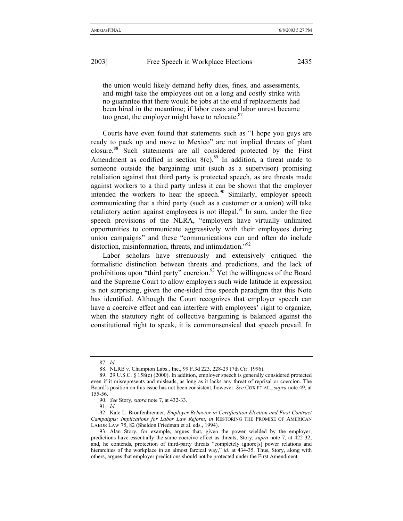the union would likely demand hefty dues, fines, and assessments, and might take the employees out on a long and costly strike with no guarantee that there would be jobs at the end if replacements had been hired in the meantime; if labor costs and labor unrest became too great, the employer might have to relocate. $87$ 

Courts have even found that statements such as "I hope you guys are ready to pack up and move to Mexico" are not implied threats of plant closure.88 Such statements are all considered protected by the First Amendment as codified in section  $8(c)$ .<sup>89</sup> In addition, a threat made to someone outside the bargaining unit (such as a supervisor) promising retaliation against that third party is protected speech, as are threats made against workers to a third party unless it can be shown that the employer intended the workers to hear the speech.<sup>90</sup> Similarly, employer speech communicating that a third party (such as a customer or a union) will take retaliatory action against employees is not illegal. $91$  In sum, under the free speech provisions of the NLRA, "employers have virtually unlimited opportunities to communicate aggressively with their employees during union campaigns" and these "communications can and often do include distortion, misinformation, threats, and intimidation."<sup>92</sup>

Labor scholars have strenuously and extensively critiqued the formalistic distinction between threats and predictions, and the lack of prohibitions upon "third party" coercion.<sup>93</sup> Yet the willingness of the Board and the Supreme Court to allow employers such wide latitude in expression is not surprising, given the one-sided free speech paradigm that this Note has identified. Although the Court recognizes that employer speech can have a coercive effect and can interfere with employees' right to organize, when the statutory right of collective bargaining is balanced against the constitutional right to speak, it is commonsensical that speech prevail. In

<sup>87.</sup> *Id*.

<sup>88.</sup> NLRB v. Champion Labs., Inc., 99 F.3d 223, 228-29 (7th Cir. 1996).

<sup>89. 29</sup> U.S.C. § 158(c) (2000). In addition, employer speech is generally considered protected even if it misrepresents and misleads, as long as it lacks any threat of reprisal or coercion. The Board's position on this issue has not been consistent, however. *See* COX ET AL., *supra* note 49, at 155-56.

<sup>90.</sup> *See* Story, *supra* note 7, at 432-33.

<sup>91.</sup> *Id*.

<sup>92.</sup> Kate L. Bronfenbrenner, *Employer Behavior in Certification Election and First Contract Campaigns: Implications for Labor Law Reform*, *in* RESTORING THE PROMISE OF AMERICAN LABOR LAW 75, 82 (Sheldon Friedman et al. eds., 1994).

<sup>93.</sup> Alan Story, for example, argues that, given the power wielded by the employer, predictions have essentially the same coercive effect as threats, Story, *supra* note 7, at 422-32, and, he contends, protection of third-party threats "completely ignore[s] power relations and hierarchies of the workplace in an almost farcical way," *id*. at 434-35. Thus, Story, along with others, argues that employer predictions should not be protected under the First Amendment.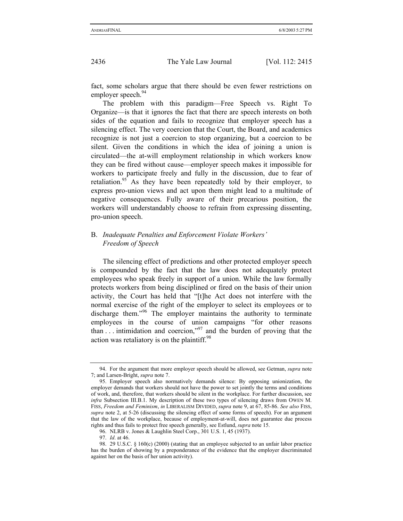fact, some scholars argue that there should be even fewer restrictions on employer speech.<sup>94</sup>

The problem with this paradigm—Free Speech vs. Right To Organize—is that it ignores the fact that there are speech interests on both sides of the equation and fails to recognize that employer speech has a silencing effect. The very coercion that the Court, the Board, and academics recognize is not just a coercion to stop organizing, but a coercion to be silent. Given the conditions in which the idea of joining a union is circulated—the at-will employment relationship in which workers know they can be fired without cause—employer speech makes it impossible for workers to participate freely and fully in the discussion, due to fear of retaliation.<sup>95</sup> As they have been repeatedly told by their employer, to express pro-union views and act upon them might lead to a multitude of negative consequences. Fully aware of their precarious position, the workers will understandably choose to refrain from expressing dissenting, pro-union speech.

## B. *Inadequate Penalties and Enforcement Violate Workers' Freedom of Speech*

The silencing effect of predictions and other protected employer speech is compounded by the fact that the law does not adequately protect employees who speak freely in support of a union. While the law formally protects workers from being disciplined or fired on the basis of their union activity, the Court has held that "[t]he Act does not interfere with the normal exercise of the right of the employer to select its employees or to discharge them.<sup>"96</sup> The employer maintains the authority to terminate employees in the course of union campaigns "for other reasons than  $\ldots$  intimidation and coercion,"<sup>97</sup> and the burden of proving that the action was retaliatory is on the plaintiff.<sup>98</sup>

<sup>94.</sup> For the argument that more employer speech should be allowed, see Getman, *supra* note 7; and Larsen-Bright, *supra* note 7.

<sup>95.</sup> Employer speech also normatively demands silence: By opposing unionization, the employer demands that workers should not have the power to set jointly the terms and conditions of work, and, therefore, that workers should be silent in the workplace. For further discussion, see *infra* Subsection III.B.1. My description of these two types of silencing draws from OWEN M. FISS, *Freedom and Feminism*, *in* LIBERALISM DIVIDED, *supra* note 9, at 67, 85-86. *See also* FISS, *supra* note 2, at 5-26 (discussing the silencing effect of some forms of speech). For an argument that the law of the workplace, because of employment-at-will, does not guarantee due process rights and thus fails to protect free speech generally, see Estlund, *supra* note 15.

<sup>96.</sup> NLRB v. Jones & Laughlin Steel Corp., 301 U.S. 1, 45 (1937).

<sup>97.</sup> *Id*. at 46.

<sup>98. 29</sup> U.S.C. § 160(c) (2000) (stating that an employee subjected to an unfair labor practice has the burden of showing by a preponderance of the evidence that the employer discriminated against her on the basis of her union activity).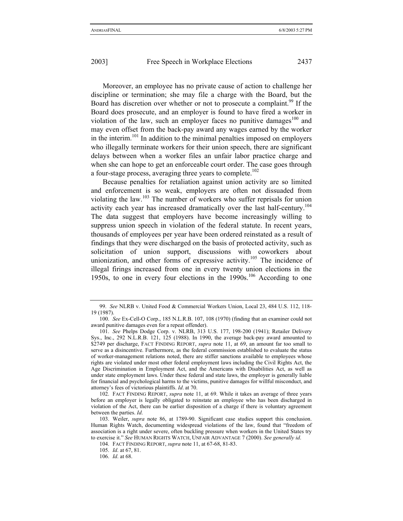Moreover, an employee has no private cause of action to challenge her discipline or termination; she may file a charge with the Board, but the Board has discretion over whether or not to prosecute a complaint.<sup>99</sup> If the Board does prosecute, and an employer is found to have fired a worker in violation of the law, such an employer faces no punitive damages $100$  and may even offset from the back-pay award any wages earned by the worker in the interim.<sup>101</sup> In addition to the minimal penalties imposed on employers who illegally terminate workers for their union speech, there are significant delays between when a worker files an unfair labor practice charge and when she can hope to get an enforceable court order. The case goes through a four-stage process, averaging three years to complete.<sup>102</sup>

Because penalties for retaliation against union activity are so limited and enforcement is so weak, employers are often not dissuaded from violating the law.<sup>103</sup> The number of workers who suffer reprisals for union activity each year has increased dramatically over the last half-century.<sup>104</sup> The data suggest that employers have become increasingly willing to suppress union speech in violation of the federal statute. In recent years, thousands of employees per year have been ordered reinstated as a result of findings that they were discharged on the basis of protected activity, such as solicitation of union support, discussions with coworkers about unionization, and other forms of expressive activity.<sup>105</sup> The incidence of illegal firings increased from one in every twenty union elections in the 1950s, to one in every four elections in the  $1990s$ .<sup>106</sup> According to one

105. *Id*. at 67, 81.

<sup>99.</sup> *See* NLRB v. United Food & Commercial Workers Union, Local 23, 484 U.S. 112, 118- 19 (1987).

<sup>100.</sup> *See* Ex-Cell-O Corp., 185 N.L.R.B. 107, 108 (1970) (finding that an examiner could not award punitive damages even for a repeat offender).

<sup>101.</sup> *See* Phelps Dodge Corp. v. NLRB, 313 U.S. 177, 198-200 (1941); Retailer Delivery Sys., Inc., 292 N.L.R.B. 121, 125 (1988). In 1990, the average back-pay award amounted to \$2749 per discharge, FACT FINDING REPORT, *supra* note 11, at 69, an amount far too small to serve as a disincentive. Furthermore, as the federal commission established to evaluate the status of worker-management relations noted, there are stiffer sanctions available to employees whose rights are violated under most other federal employment laws including the Civil Rights Act, the Age Discrimination in Employment Act, and the Americans with Disabilities Act, as well as under state employment laws. Under these federal and state laws, the employer is generally liable for financial and psychological harms to the victims, punitive damages for willful misconduct, and attorney's fees of victorious plaintiffs. *Id*. at 70.

<sup>102.</sup> FACT FINDING REPORT, *supra* note 11, at 69. While it takes an average of three years before an employer is legally obligated to reinstate an employee who has been discharged in violation of the Act, there can be earlier disposition of a charge if there is voluntary agreement between the parties. *Id*.

<sup>103.</sup> Weiler, *supra* note 86, at 1789-90. Significant case studies support this conclusion. Human Rights Watch, documenting widespread violations of the law, found that "freedom of association is a right under severe, often buckling pressure when workers in the United States try to exercise it." *See* HUMAN RIGHTS WATCH, UNFAIR ADVANTAGE 7 (2000). *See generally id*.

<sup>104.</sup> FACT FINDING REPORT, *supra* note 11, at 67-68, 81-83.

<sup>106.</sup> *Id*. at 68.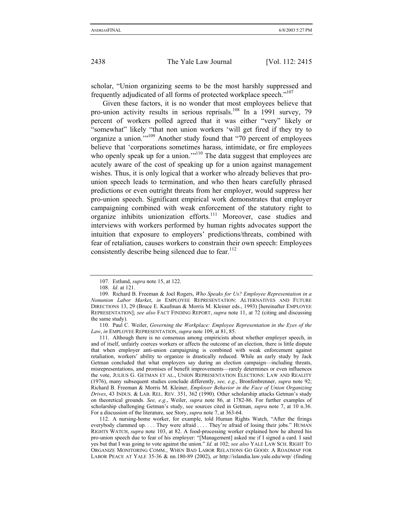scholar, "Union organizing seems to be the most harshly suppressed and frequently adjudicated of all forms of protected workplace speech."<sup>107</sup>

Given these factors, it is no wonder that most employees believe that pro-union activity results in serious reprisals.<sup>108</sup> In a 1991 survey, 79 percent of workers polled agreed that it was either "very" likely or "somewhat" likely "that non union workers 'will get fired if they try to organize a union.'"109 Another study found that "70 percent of employees believe that 'corporations sometimes harass, intimidate, or fire employees who openly speak up for a union."<sup>110</sup> The data suggest that employees are acutely aware of the cost of speaking up for a union against management wishes. Thus, it is only logical that a worker who already believes that prounion speech leads to termination, and who then hears carefully phrased predictions or even outright threats from her employer, would suppress her pro-union speech. Significant empirical work demonstrates that employer campaigning combined with weak enforcement of the statutory right to organize inhibits unionization efforts.111 Moreover, case studies and interviews with workers performed by human rights advocates support the intuition that exposure to employers' predictions/threats, combined with fear of retaliation, causes workers to constrain their own speech: Employees consistently describe being silenced due to fear.<sup>112</sup>

111. Although there is no consensus among empiricists about whether employer speech, in and of itself, unfairly coerces workers or affects the outcome of an election, there is little dispute that when employer anti-union campaigning is combined with weak enforcement against retaliation, workers' ability to organize is drastically reduced. While an early study by Jack Getman concluded that what employers say during an election campaign—including threats, misrepresentations, and promises of benefit improvements—rarely determines or even influences the vote, JULIUS G. GETMAN ET AL., UNION REPRESENTATION ELECTIONS: LAW AND REALITY (1976), many subsequent studies conclude differently, *see, e*.*g*., Bronfenbrenner, *supra* note 92; Richard B. Freeman & Morris M. Kleiner, *Employer Behavior in the Face of Union Organizing Drives*, 43 INDUS. & LAB. REL. REV. 351, 362 (1990). Other scholarship attacks Getman's study on theoretical grounds. *See, e*.*g*., Weiler, *supra* note 86, at 1782-86. For further examples of scholarship challenging Getman's study, see sources cited in Getman, *supra* note 7, at 10 n.36. For a discussion of the literature, see Story, *supra* note 7, at 363-64.

112. A nursing-home worker, for example, told Human Rights Watch, "After the firings everybody clammed up. . . . They were afraid . . . . They're afraid of losing their jobs." HUMAN RIGHTS WATCH, *supra* note 103, at 82. A food-processing worker explained how he altered his pro-union speech due to fear of his employer: "[Management] asked me if I signed a card. I said yes but that I was going to vote against the union." *Id*. at 102; *see also* YALE LAW SCH. RIGHT TO ORGANIZE MONITORING COMM., WHEN BAD LABOR RELATIONS GO GOOD: A ROADMAP FOR LABOR PEACE AT YALE 35-36 & nn.180-89 (2002), *at* http://islandia.law.yale.edu/wrp/ (finding

<sup>107.</sup> Estlund, *supra* note 15, at 122.

<sup>108.</sup> *Id*. at 121.

<sup>109.</sup> Richard B. Freeman & Joel Rogers, *Who Speaks for Us? Employee Representation in a Nonunion Labor Market*, *in* EMPLOYEE REPRESENTATION: ALTERNATIVES AND FUTURE DIRECTIONS 13, 29 (Bruce E. Kaufman & Morris M. Kleiner eds., 1993) [hereinafter EMPLOYEE REPRESENTATION]; *see also* FACT FINDING REPORT, *supra* note 11, at 72 (citing and discussing the same study).

<sup>110.</sup> Paul C. Weiler, *Governing the Workplace: Employee Representation in the Eyes of the Law*, *in* EMPLOYEE REPRESENTATION, *supra* note 109, at 81, 85.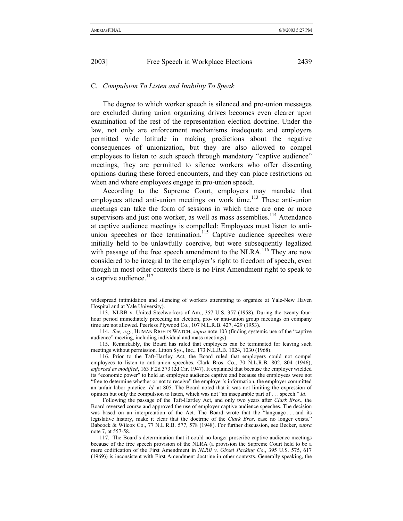#### C. *Compulsion To Listen and Inability To Speak*

The degree to which worker speech is silenced and pro-union messages are excluded during union organizing drives becomes even clearer upon examination of the rest of the representation election doctrine. Under the law, not only are enforcement mechanisms inadequate and employers permitted wide latitude in making predictions about the negative consequences of unionization, but they are also allowed to compel employees to listen to such speech through mandatory "captive audience" meetings, they are permitted to silence workers who offer dissenting opinions during these forced encounters, and they can place restrictions on when and where employees engage in pro-union speech.

According to the Supreme Court, employers may mandate that employees attend anti-union meetings on work time.<sup>113</sup> These anti-union meetings can take the form of sessions in which there are one or more supervisors and just one worker, as well as mass assemblies.<sup>114</sup> Attendance at captive audience meetings is compelled: Employees must listen to antiunion speeches or face termination.<sup>115</sup> Captive audience speeches were initially held to be unlawfully coercive, but were subsequently legalized with passage of the free speech amendment to the NLRA.<sup> $116$ </sup> They are now considered to be integral to the employer's right to freedom of speech, even though in most other contexts there is no First Amendment right to speak to a captive audience.<sup>117</sup>

115. Remarkably, the Board has ruled that employees can be terminated for leaving such meetings without permission. Litton Sys., Inc., 173 N.L.R.B. 1024, 1030 (1968).

116. Prior to the Taft-Hartley Act, the Board ruled that employers could not compel employees to listen to anti-union speeches. Clark Bros. Co., 70 N.L.R.B. 802, 804 (1946), *enforced as modified*, 163 F.2d 373 (2d Cir. 1947). It explained that because the employer wielded its "economic power" to hold an employee audience captive and because the employees were not "free to determine whether or not to receive" the employer's information, the employer committed an unfair labor practice. *Id*. at 805. The Board noted that it was not limiting the expression of opinion but only the compulsion to listen, which was not "an inseparable part of . . . speech." *Id*.

Following the passage of the Taft-Hartley Act, and only two years after *Clark Bros*., the Board reversed course and approved the use of employer captive audience speeches. The decision was based on an interpretation of the Act. The Board wrote that the "language . . . and its legislative history, make it clear that the doctrine of the *Clark Bros*. case no longer exists." Babcock & Wilcox Co., 77 N.L.R.B. 577, 578 (1948). For further discussion, see Becker, *supra* note 7, at 557-58.

117. The Board's determination that it could no longer proscribe captive audience meetings because of the free speech provision of the NLRA (a provision the Supreme Court held to be a mere codification of the First Amendment in *NLRB v*. *Gissel Packing Co*., 395 U.S. 575, 617 (1969)) is inconsistent with First Amendment doctrine in other contexts. Generally speaking, the

widespread intimidation and silencing of workers attempting to organize at Yale-New Haven Hospital and at Yale University).

<sup>113.</sup> NLRB v. United Steelworkers of Am., 357 U.S. 357 (1958). During the twenty-fourhour period immediately preceding an election, pro- or anti-union group meetings on company time are not allowed. Peerless Plywood Co., 107 N.L.R.B. 427, 429 (1953).

<sup>114.</sup> *See, e*.*g*., HUMAN RIGHTS WATCH, *supra* note 103 (finding systemic use of the "captive audience" meeting, including individual and mass meetings).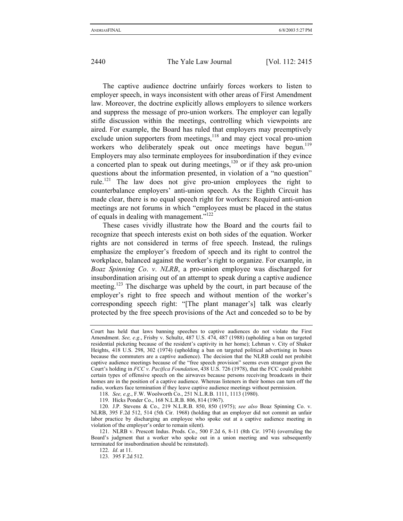The captive audience doctrine unfairly forces workers to listen to employer speech, in ways inconsistent with other areas of First Amendment law. Moreover, the doctrine explicitly allows employers to silence workers and suppress the message of pro-union workers. The employer can legally stifle discussion within the meetings, controlling which viewpoints are aired. For example, the Board has ruled that employers may preemptively exclude union supporters from meetings,<sup>118</sup> and may eject vocal pro-union workers who deliberately speak out once meetings have begun.<sup>119</sup> Employers may also terminate employees for insubordination if they evince a concerted plan to speak out during meetings, $120$  or if they ask pro-union questions about the information presented, in violation of a "no question" rule.<sup>121</sup> The law does not give pro-union employees the right to counterbalance employers' anti-union speech. As the Eighth Circuit has made clear, there is no equal speech right for workers: Required anti-union meetings are not forums in which "employees must be placed in the status of equals in dealing with management."122

These cases vividly illustrate how the Board and the courts fail to recognize that speech interests exist on both sides of the equation. Worker rights are not considered in terms of free speech. Instead, the rulings emphasize the employer's freedom of speech and its right to control the workplace, balanced against the worker's right to organize. For example, in *Boaz Spinning Co*. *v*. *NLRB*, a pro-union employee was discharged for insubordination arising out of an attempt to speak during a captive audience meeting.<sup>123</sup> The discharge was upheld by the court, in part because of the employer's right to free speech and without mention of the worker's corresponding speech right: "[The plant manager's] talk was clearly protected by the free speech provisions of the Act and conceded so to be by

118. *See, e*.*g*., F.W. Woolworth Co., 251 N.L.R.B. 1111, 1113 (1980).

119. Hicks Ponder Co., 168 N.L.R.B. 806, 814 (1967).

122. *Id*. at 11.

123. 395 F.2d 512.

Court has held that laws banning speeches to captive audiences do not violate the First Amendment. *See, e*.*g*., Frisby v. Schultz, 487 U.S. 474, 487 (1988) (upholding a ban on targeted residential picketing because of the resident's captivity in her home); Lehman v. City of Shaker Heights, 418 U.S. 298, 302 (1974) (upholding a ban on targeted political advertising in buses because the commuters are a captive audience). The decision that the NLRB could not prohibit captive audience meetings because of the "free speech provision" seems even stranger given the Court's holding in *FCC v*. *Pacifica Foundation*, 438 U.S. 726 (1978), that the FCC could prohibit certain types of offensive speech on the airwaves because persons receiving broadcasts in their homes are in the position of a captive audience. Whereas listeners in their homes can turn off the radio, workers face termination if they leave captive audience meetings without permission.

<sup>120.</sup> J.P. Stevens & Co., 219 N.L.R.B. 850, 850 (1975); *see also* Boaz Spinning Co. v. NLRB, 395 F.2d 512, 514 (5th Cir. 1968) (holding that an employer did not commit an unfair labor practice by discharging an employee who spoke out at a captive audience meeting in violation of the employer's order to remain silent).

<sup>121.</sup> NLRB v. Prescott Indus. Prods. Co., 500 F.2d 6, 8-11 (8th Cir. 1974) (overruling the Board's judgment that a worker who spoke out in a union meeting and was subsequently terminated for insubordination should be reinstated).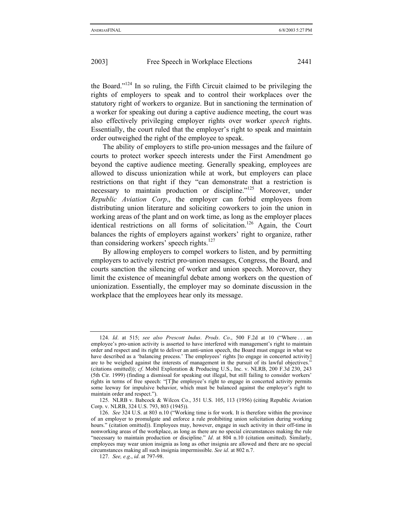the Board."124 In so ruling, the Fifth Circuit claimed to be privileging the rights of employers to speak and to control their workplaces over the statutory right of workers to organize. But in sanctioning the termination of a worker for speaking out during a captive audience meeting, the court was also effectively privileging employer rights over worker *speech* rights. Essentially, the court ruled that the employer's right to speak and maintain order outweighed the right of the employee to speak.

The ability of employers to stifle pro-union messages and the failure of courts to protect worker speech interests under the First Amendment go beyond the captive audience meeting. Generally speaking, employees are allowed to discuss unionization while at work, but employers can place restrictions on that right if they "can demonstrate that a restriction is necessary to maintain production or discipline."<sup>125</sup> Moreover, under *Republic Aviation Corp*., the employer can forbid employees from distributing union literature and soliciting coworkers to join the union in working areas of the plant and on work time, as long as the employer places identical restrictions on all forms of solicitation.126 Again, the Court balances the rights of employers against workers' right to organize, rather than considering workers' speech rights.<sup>127</sup>

By allowing employers to compel workers to listen, and by permitting employers to actively restrict pro-union messages, Congress, the Board, and courts sanction the silencing of worker and union speech. Moreover, they limit the existence of meaningful debate among workers on the question of unionization. Essentially, the employer may so dominate discussion in the workplace that the employees hear only its message.

<sup>124.</sup> *Id*. at 515; *see also Prescott Indus*. *Prods*. *Co*., 500 F.2d at 10 ("Where . . . an employee's pro-union activity is asserted to have interfered with management's right to maintain order and respect and its right to deliver an anti-union speech, the Board must engage in what we have described as a 'balancing process.' The employees' rights [to engage in concerted activity] are to be weighed against the interests of management in the pursuit of its lawful objectives." (citations omitted)); *cf*. Mobil Exploration & Producing U.S., Inc. v. NLRB, 200 F.3d 230, 243 (5th Cir. 1999) (finding a dismissal for speaking out illegal, but still failing to consider workers' rights in terms of free speech: "[T]he employee's right to engage in concerted activity permits some leeway for impulsive behavior, which must be balanced against the employer's right to maintain order and respect.").

<sup>125.</sup> NLRB v. Babcock & Wilcox Co., 351 U.S. 105, 113 (1956) (citing Republic Aviation Corp. v. NLRB, 324 U.S. 793, 803 (1945)).

<sup>126.</sup> *See* 324 U.S. at 803 n.10 ("Working time is for work. It is therefore within the province of an employer to promulgate and enforce a rule prohibiting union solicitation during working hours." (citation omitted)). Employees may, however, engage in such activity in their off-time in nonworking areas of the workplace, as long as there are no special circumstances making the rule "necessary to maintain production or discipline." *Id.* at 804 n.10 (citation omitted). Similarly, employees may wear union insignia as long as other insignia are allowed and there are no special circumstances making all such insignia impermissible. *See id*. at 802 n.7.

<sup>127.</sup> *See, e*.*g*., *id*. at 797-98.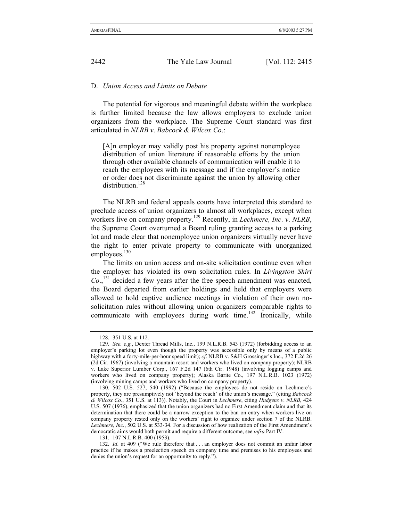### D. *Union Access and Limits on Debate*

The potential for vigorous and meaningful debate within the workplace is further limited because the law allows employers to exclude union organizers from the workplace. The Supreme Court standard was first articulated in *NLRB v*. *Babcock & Wilcox Co*.:

[A]n employer may validly post his property against nonemployee distribution of union literature if reasonable efforts by the union through other available channels of communication will enable it to reach the employees with its message and if the employer's notice or order does not discriminate against the union by allowing other distribution.<sup>128</sup>

The NLRB and federal appeals courts have interpreted this standard to preclude access of union organizers to almost all workplaces, except when workers live on company property.129 Recently, in *Lechmere, Inc*. *v*. *NLRB*, the Supreme Court overturned a Board ruling granting access to a parking lot and made clear that nonemployee union organizers virtually never have the right to enter private property to communicate with unorganized employees.<sup>130</sup>

The limits on union access and on-site solicitation continue even when the employer has violated its own solicitation rules. In *Livingston Shirt*   $Co.$ <sup>131</sup> decided a few years after the free speech amendment was enacted, the Board departed from earlier holdings and held that employers were allowed to hold captive audience meetings in violation of their own nosolicitation rules without allowing union organizers comparable rights to communicate with employees during work time.<sup>132</sup> Ironically, while

<sup>128. 351</sup> U.S. at 112.

<sup>129.</sup> *See, e*.*g*., Dexter Thread Mills, Inc., 199 N.L.R.B. 543 (1972) (forbidding access to an employer's parking lot even though the property was accessible only by means of a public highway with a forty-mile-per-hour speed limit); *cf*. NLRB v. S&H Grossinger's Inc., 372 F.2d 26 (2d Cir. 1967) (involving a mountain resort and workers who lived on company property); NLRB v. Lake Superior Lumber Corp., 167 F.2d 147 (6th Cir. 1948) (involving logging camps and workers who lived on company property); Alaska Barite Co., 197 N.L.R.B. 1023 (1972) (involving mining camps and workers who lived on company property).

<sup>130. 502</sup> U.S. 527, 540 (1992) ("Because the employees do not reside on Lechmere's property, they are presumptively not 'beyond the reach' of the union's message." (citing *Babcock & Wilcox Co*., 351 U.S. at 113)). Notably, the Court in *Lechmere*, citing *Hudgens v*. *NLRB*, 424 U.S. 507 (1976), emphasized that the union organizers had no First Amendment claim and that its determination that there could be a narrow exception to the ban on entry when workers live on company property rested only on the workers' right to organize under section 7 of the NLRB. *Lechmere, Inc.*, 502 U.S. at 533-34. For a discussion of how realization of the First Amendment's democratic aims would both permit and require a different outcome, see *infra* Part IV.

<sup>131. 107</sup> N.L.R.B. 400 (1953).

<sup>132.</sup> *Id*. at 409 ("We rule therefore that . . . an employer does not commit an unfair labor practice if he makes a preelection speech on company time and premises to his employees and denies the union's request for an opportunity to reply.").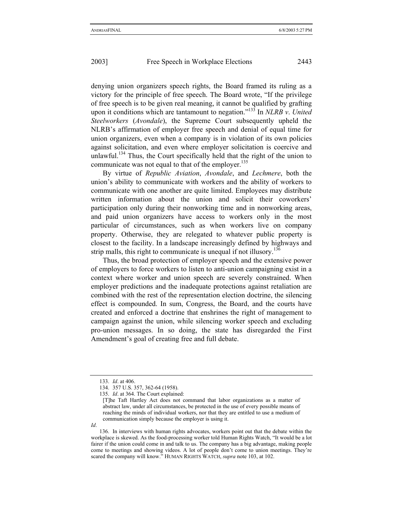denying union organizers speech rights, the Board framed its ruling as a victory for the principle of free speech. The Board wrote, "If the privilege of free speech is to be given real meaning, it cannot be qualified by grafting upon it conditions which are tantamount to negation."133 In *NLRB v*. *United Steelworkers (Avondale)*, the Supreme Court subsequently upheld the NLRB's affirmation of employer free speech and denial of equal time for union organizers, even when a company is in violation of its own policies against solicitation, and even where employer solicitation is coercive and unlawful.<sup>134</sup> Thus, the Court specifically held that the right of the union to communicate was not equal to that of the employer.<sup>135</sup>

By virtue of *Republic Aviation*, *Avondale*, and *Lechmere*, both the union's ability to communicate with workers and the ability of workers to communicate with one another are quite limited. Employees may distribute written information about the union and solicit their coworkers' participation only during their nonworking time and in nonworking areas, and paid union organizers have access to workers only in the most particular of circumstances, such as when workers live on company property. Otherwise, they are relegated to whatever public property is closest to the facility. In a landscape increasingly defined by highways and strip malls, this right to communicate is unequal if not illusory.<sup>136</sup>

Thus, the broad protection of employer speech and the extensive power of employers to force workers to listen to anti-union campaigning exist in a context where worker and union speech are severely constrained. When employer predictions and the inadequate protections against retaliation are combined with the rest of the representation election doctrine, the silencing effect is compounded. In sum, Congress, the Board, and the courts have created and enforced a doctrine that enshrines the right of management to campaign against the union, while silencing worker speech and excluding pro-union messages. In so doing, the state has disregarded the First Amendment's goal of creating free and full debate.

*Id*.

<sup>133.</sup> *Id*. at 406.

<sup>134. 357</sup> U.S. 357, 362-64 (1958).

<sup>135.</sup> *Id*. at 364. The Court explained:

<sup>[</sup>T]he Taft Hartley Act does not command that labor organizations as a matter of abstract law, under all circumstances, be protected in the use of every possible means of reaching the minds of individual workers, nor that they are entitled to use a medium of communication simply because the employer is using it.

<sup>136.</sup> In interviews with human rights advocates, workers point out that the debate within the workplace is skewed. As the food-processing worker told Human Rights Watch, "It would be a lot fairer if the union could come in and talk to us. The company has a big advantage, making people come to meetings and showing videos. A lot of people don't come to union meetings. They're scared the company will know." HUMAN RIGHTS WATCH, *supra* note 103, at 102.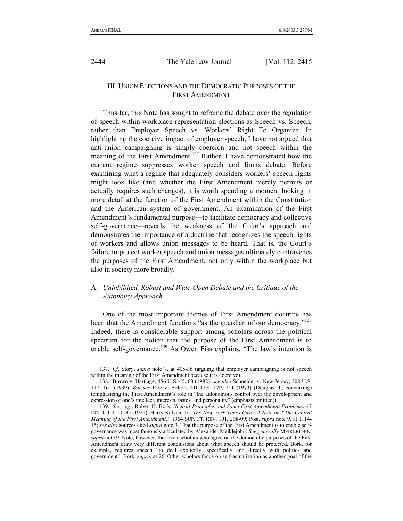## III. UNION ELECTIONS AND THE DEMOCRATIC PURPOSES OF THE FIRST AMENDMENT

Thus far, this Note has sought to reframe the debate over the regulation of speech within workplace representation elections as Speech vs. Speech, rather than Employer Speech vs. Workers' Right To Organize. In highlighting the coercive impact of employer speech, I have not argued that anti-union campaigning is simply coercion and not speech within the meaning of the First Amendment.<sup>137</sup> Rather, I have demonstrated how the current regime suppresses worker speech and limits debate. Before examining what a regime that adequately considers workers' speech rights might look like (and whether the First Amendment merely permits or actually requires such changes), it is worth spending a moment looking in more detail at the function of the First Amendment within the Constitution and the American system of government. An examination of the First Amendment's fundamental purpose—to facilitate democracy and collective self-governance—reveals the weakness of the Court's approach and demonstrates the importance of a doctrine that recognizes the speech rights of workers and allows union messages to be heard. That is, the Court's failure to protect worker speech and union messages ultimately contravenes the purposes of the First Amendment, not only within the workplace but also in society more broadly.

## A. *Uninhibited, Robust and Wide-Open Debate and the Critique of the Autonomy Approach*

One of the most important themes of First Amendment doctrine has been that the Amendment functions "as the guardian of our democracy."<sup>138</sup> Indeed, there is considerable support among scholars across the political spectrum for the notion that the purpose of the First Amendment is to enable self-governance.<sup>139</sup> As Owen Fiss explains, "The law's intention is

<sup>137.</sup> *Cf*. Story, *supra* note 7, at 405-36 (arguing that employer campaigning is not speech within the meaning of the First Amendment because it is coercive).

<sup>138.</sup> Brown v. Hartlage, 456 U.S. 45, 60 (1982); *see also* Schneider v. New Jersey, 308 U.S. 147, 161 (1939). *But see* Doe v. Bolton, 410 U.S. 179, 211 (1973) (Douglas, J., concurring) (emphasizing the First Amendment's role in "the autonomous control over the development and expression of one's intellect, interests, tastes, and personality" (emphasis omitted)).

<sup>139.</sup> *See, e*.*g*., Robert H. Bork, *Neutral Principles and Some First Amendment Problems*, 47 IND. L.J. 1, 20-35 (1971); Harry Kalven, Jr., *The New York Times Case: A Note on "The Central Meaning of the First Amendment*,*"* 1964 SUP. CT. REV. 191, 208-09; Post, *supra* note 9, at 1114- 15; *see also* sources cited *supra* note 9. That the purpose of the First Amendment is to enable selfgovernance was most famously articulated by Alexander Meiklejohn. *See generally* MEIKLEJOHN, *supra* note 9. Note, however, that even scholars who agree on the democratic purposes of the First Amendment draw very different conclusions about what speech should be protected. Bork, for example, requires speech "to deal explicitly, specifically and directly with politics and government." Bork, *supra*, at 26. Other scholars focus on self-actualization as another goal of the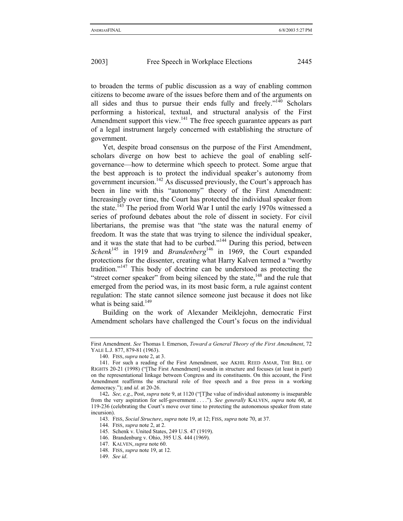to broaden the terms of public discussion as a way of enabling common citizens to become aware of the issues before them and of the arguments on all sides and thus to pursue their ends fully and freely."<sup>140</sup> Scholars performing a historical, textual, and structural analysis of the First Amendment support this view.<sup>141</sup> The free speech guarantee appears as part of a legal instrument largely concerned with establishing the structure of government.

Yet, despite broad consensus on the purpose of the First Amendment, scholars diverge on how best to achieve the goal of enabling selfgovernance—how to determine which speech to protect. Some argue that the best approach is to protect the individual speaker's autonomy from government incursion.<sup>142</sup> As discussed previously, the Court's approach has been in line with this "autonomy" theory of the First Amendment: Increasingly over time, the Court has protected the individual speaker from the state.<sup>143</sup> The period from World War I until the early 1970s witnessed a series of profound debates about the role of dissent in society. For civil libertarians, the premise was that "the state was the natural enemy of freedom. It was the state that was trying to silence the individual speaker, and it was the state that had to be curbed."<sup>144</sup> During this period, between *Schenk*<sup>145</sup> in 1919 and *Brandenberg*<sup>146</sup> in 1969, the Court expanded protections for the dissenter, creating what Harry Kalven termed a "worthy tradition."147 This body of doctrine can be understood as protecting the "street corner speaker" from being silenced by the state, $148$  and the rule that emerged from the period was, in its most basic form, a rule against content regulation: The state cannot silence someone just because it does not like what is being said. $149$ 

Building on the work of Alexander Meiklejohn, democratic First Amendment scholars have challenged the Court's focus on the individual

First Amendment. *See* Thomas I. Emerson, *Toward a General Theory of the First Amendment*, 72 YALE L.J. 877, 879-81 (1963).

<sup>140.</sup> FISS, *supra* note 2, at 3.

<sup>141.</sup> For such a reading of the First Amendment, see AKHIL REED AMAR, THE BILL OF RIGHTS 20-21 (1998) ("[The First Amendment] sounds in structure and focuses (at least in part) on the representational linkage between Congress and its constituents. On this account, the First Amendment reaffirms the structural role of free speech and a free press in a working democracy."); and *id*. at 20-26.

<sup>142</sup>**.** *See, e*.*g*., Post, *supra* note 9, at 1120 ("[T]he value of individual autonomy is inseparable from the very aspiration for self-government . . . ."). *See generally* KALVEN, *supra* note 60, at 119-236 (celebrating the Court's move over time to protecting the autonomous speaker from state incursion).

<sup>143.</sup> FISS, *Social Structure*, *supra* note 19, at 12; FISS, *supra* note 70, at 37.

<sup>144.</sup> FISS, *supra* note 2, at 2.

<sup>145.</sup> Schenk v. United States, 249 U.S. 47 (1919).

<sup>146.</sup> Brandenburg v. Ohio, 395 U.S. 444 (1969).

<sup>147.</sup> KALVEN, *supra* note 60.

<sup>148.</sup> FISS, *supra* note 19, at 12.

<sup>149.</sup> *See id*.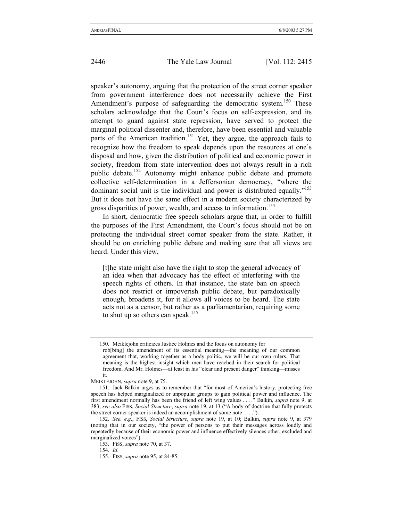speaker's autonomy, arguing that the protection of the street corner speaker from government interference does not necessarily achieve the First Amendment's purpose of safeguarding the democratic system.<sup>150</sup> These scholars acknowledge that the Court's focus on self-expression, and its attempt to guard against state repression, have served to protect the marginal political dissenter and, therefore, have been essential and valuable parts of the American tradition.<sup>151</sup> Yet, they argue, the approach fails to recognize how the freedom to speak depends upon the resources at one's disposal and how, given the distribution of political and economic power in society, freedom from state intervention does not always result in a rich public debate.152 Autonomy might enhance public debate and promote collective self-determination in a Jeffersonian democracy, "where the dominant social unit is the individual and power is distributed equally."<sup>153</sup> But it does not have the same effect in a modern society characterized by gross disparities of power, wealth, and access to information.<sup>154</sup>

In short, democratic free speech scholars argue that, in order to fulfill the purposes of the First Amendment, the Court's focus should not be on protecting the individual street corner speaker from the state. Rather, it should be on enriching public debate and making sure that all views are heard. Under this view,

[t]he state might also have the right to stop the general advocacy of an idea when that advocacy has the effect of interfering with the speech rights of others. In that instance, the state ban on speech does not restrict or impoverish public debate, but paradoxically enough, broadens it, for it allows all voices to be heard. The state acts not as a censor, but rather as a parliamentarian, requiring some to shut up so others can speak.<sup>155</sup>

<sup>150.</sup> Meiklejohn criticizes Justice Holmes and the focus on autonomy for rob[bing] the amendment of its essential meaning—the meaning of our common agreement that, working together as a body politic, we will be our own rulers. That meaning is the highest insight which men have reached in their search for political freedom. And Mr. Holmes—at least in his "clear and present danger" thinking—misses it.

MEIKLEJOHN, *supra* note 9, at 75.

<sup>151.</sup> Jack Balkin urges us to remember that "for most of America's history, protecting free speech has helped marginalized or unpopular groups to gain political power and influence. The first amendment normally has been the friend of left wing values . . . ." Balkin, *supra* note 9, at 383; *see also* FISS, *Social Structure*, *supra* note 19, at 13 ("A body of doctrine that fully protects the street corner speaker is indeed an accomplishment of some note . . . .").

<sup>152.</sup> *See, e*.*g*., FISS, *Social Structure*, *supra* note 19, at 10; Balkin, *supra* note 9, at 379 (noting that in our society, "the power of persons to put their messages across loudly and repeatedly because of their economic power and influence effectively silences other, excluded and marginalized voices").

<sup>153.</sup> FISS, *supra* note 70, at 37.

<sup>154.</sup> *Id*.

<sup>155.</sup> FISS, *supra* note 95, at 84-85.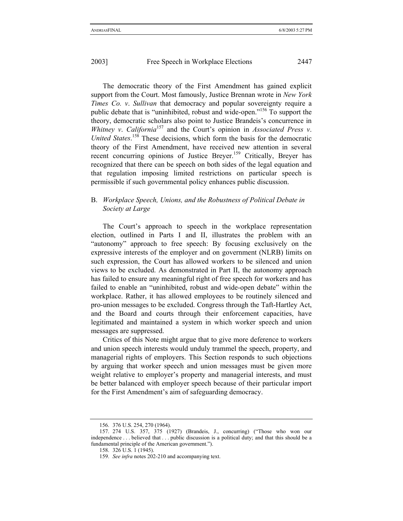The democratic theory of the First Amendment has gained explicit support from the Court. Most famously, Justice Brennan wrote in *New York Times Co. v*. *Sullivan* that democracy and popular sovereignty require a public debate that is "uninhibited, robust and wide-open."156 To support the theory, democratic scholars also point to Justice Brandeis's concurrence in *Whitney v*. *California*<sup>157</sup> and the Court's opinion in *Associated Press v*. United States.<sup>158</sup> These decisions, which form the basis for the democratic theory of the First Amendment, have received new attention in several recent concurring opinions of Justice Breyer.<sup>159</sup> Critically, Breyer has recognized that there can be speech on both sides of the legal equation and that regulation imposing limited restrictions on particular speech is permissible if such governmental policy enhances public discussion.

## B. *Workplace Speech, Unions, and the Robustness of Political Debate in Society at Large*

The Court's approach to speech in the workplace representation election, outlined in Parts I and II, illustrates the problem with an "autonomy" approach to free speech: By focusing exclusively on the expressive interests of the employer and on government (NLRB) limits on such expression, the Court has allowed workers to be silenced and union views to be excluded. As demonstrated in Part II, the autonomy approach has failed to ensure any meaningful right of free speech for workers and has failed to enable an "uninhibited, robust and wide-open debate" within the workplace. Rather, it has allowed employees to be routinely silenced and pro-union messages to be excluded. Congress through the Taft-Hartley Act, and the Board and courts through their enforcement capacities, have legitimated and maintained a system in which worker speech and union messages are suppressed.

Critics of this Note might argue that to give more deference to workers and union speech interests would unduly trammel the speech, property, and managerial rights of employers. This Section responds to such objections by arguing that worker speech and union messages must be given more weight relative to employer's property and managerial interests, and must be better balanced with employer speech because of their particular import for the First Amendment's aim of safeguarding democracy.

<sup>156. 376</sup> U.S. 254, 270 (1964).

<sup>157. 274</sup> U.S. 357, 375 (1927) (Brandeis, J., concurring) ("Those who won our independence . . . believed that . . . public discussion is a political duty; and that this should be a fundamental principle of the American government.").

<sup>158. 326</sup> U.S. 1 (1945).

<sup>159.</sup> *See infra* notes 202-210 and accompanying text.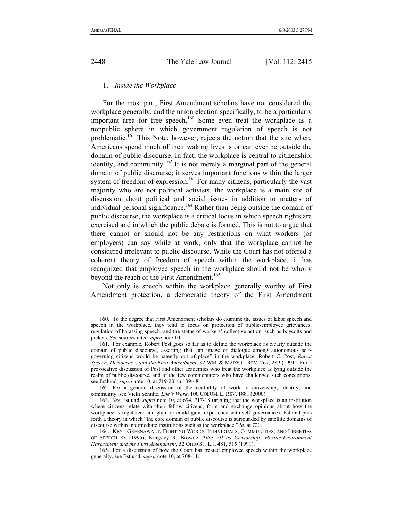#### 1. *Inside the Workplace*

For the most part, First Amendment scholars have not considered the workplace generally, and the union election specifically, to be a particularly important area for free speech.<sup>160</sup> Some even treat the workplace as a nonpublic sphere in which government regulation of speech is not problematic.161 This Note, however, rejects the notion that the site where Americans spend much of their waking lives is or can ever be outside the domain of public discourse. In fact, the workplace is central to citizenship, identity, and community.<sup>162</sup> It is not merely a marginal part of the general domain of public discourse; it serves important functions within the larger system of freedom of expression.<sup>163</sup> For many citizens, particularly the vast majority who are not political activists, the workplace is a main site of discussion about political and social issues in addition to matters of individual personal significance.<sup>164</sup> Rather than being outside the domain of public discourse, the workplace is a critical locus in which speech rights are exercised and in which the public debate is formed. This is not to argue that there cannot or should not be any restrictions on what workers (or employers) can say while at work, only that the workplace cannot be considered irrelevant to public discourse. While the Court has not offered a coherent theory of freedom of speech within the workplace, it has recognized that employee speech in the workplace should not be wholly beyond the reach of the First Amendment.<sup>165</sup>

Not only is speech within the workplace generally worthy of First Amendment protection, a democratic theory of the First Amendment

162. For a general discussion of the centrality of work to citizenship, identity, and community, see Vicki Schultz, *Life's Work*, 100 COLUM. L. REV. 1881 (2000).

<sup>160.</sup> To the degree that First Amendment scholars do examine the issues of labor speech and speech in the workplace, they tend to focus on protection of public-employee grievances; regulation of harassing speech; and the status of workers' collective action, such as boycotts and pickets. *See* sources cited *supra* note 10.

<sup>161.</sup> For example, Robert Post goes so far as to define the workplace as clearly outside the domain of public discourse, asserting that "an image of dialogue among autonomous selfgoverning citizens would be patently out of place" in the workplace. Robert C. Post, *Racist Speech, Democracy, and the First Amendment*, 32 WM. & MARY L. REV. 267, 289 (1991). For a provocative discussion of Post and other academics who treat the workplace as lying outside the realm of public discourse, and of the few commentators who have challenged such conceptions, see Estlund, *supra* note 10, at 719-20 nn.139-48.

<sup>163.</sup> *See* Estlund, *supra* note 10, at 694, 717-18 (arguing that the workplace is an institution where citizens relate with their fellow citizens; form and exchange opinions about how the workplace is regulated; and gain, or could gain, experience with self-governance). Estlund puts forth a theory in which "the core domain of public discourse is surrounded by satellite domains of discourse within intermediate institutions such as the workplace." *Id*. at 720.

<sup>164.</sup> KENT GREENAWALT, FIGHTING WORDS: INDIVIDUALS, COMMUNITIES, AND LIBERTIES OF SPEECH 83 (1995); Kingsley R. Browne, *Title VII as Censorship: Hostile-Environment Harassment and the First Amendment*, 52 OHIO ST. L.J. 481, 515 (1991).

<sup>165.</sup> For a discussion of how the Court has treated employee speech within the workplace generally, see Estlund, *supra* note 10, at 708-11.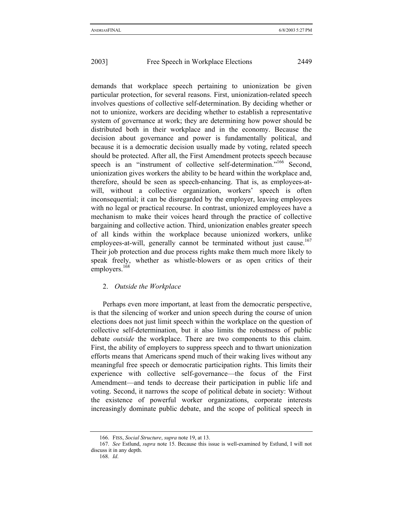demands that workplace speech pertaining to unionization be given particular protection, for several reasons. First, unionization-related speech involves questions of collective self-determination. By deciding whether or not to unionize, workers are deciding whether to establish a representative system of governance at work; they are determining how power should be distributed both in their workplace and in the economy. Because the decision about governance and power is fundamentally political, and because it is a democratic decision usually made by voting, related speech should be protected. After all, the First Amendment protects speech because speech is an "instrument of collective self-determination."<sup>166</sup> Second, unionization gives workers the ability to be heard within the workplace and, therefore, should be seen as speech-enhancing. That is, as employees-atwill, without a collective organization, workers' speech is often inconsequential; it can be disregarded by the employer, leaving employees with no legal or practical recourse. In contrast, unionized employees have a mechanism to make their voices heard through the practice of collective bargaining and collective action. Third, unionization enables greater speech of all kinds within the workplace because unionized workers, unlike employees-at-will, generally cannot be terminated without just cause.<sup>167</sup> Their job protection and due process rights make them much more likely to speak freely, whether as whistle-blowers or as open critics of their employers.<sup>168</sup>

#### 2. *Outside the Workplace*

Perhaps even more important, at least from the democratic perspective, is that the silencing of worker and union speech during the course of union elections does not just limit speech within the workplace on the question of collective self-determination, but it also limits the robustness of public debate *outside* the workplace. There are two components to this claim. First, the ability of employers to suppress speech and to thwart unionization efforts means that Americans spend much of their waking lives without any meaningful free speech or democratic participation rights. This limits their experience with collective self-governance—the focus of the First Amendment—and tends to decrease their participation in public life and voting. Second, it narrows the scope of political debate in society: Without the existence of powerful worker organizations, corporate interests increasingly dominate public debate, and the scope of political speech in

<sup>166.</sup> FISS, *Social Structure*, *supra* note 19, at 13.

<sup>167.</sup> *See* Estlund, *supra* note 15. Because this issue is well-examined by Estlund, I will not discuss it in any depth.

<sup>168.</sup> *Id*.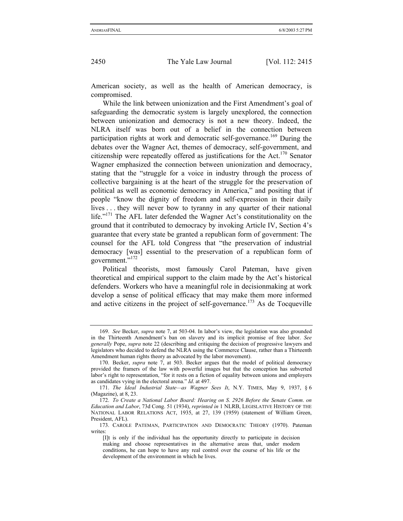American society, as well as the health of American democracy, is compromised.

While the link between unionization and the First Amendment's goal of safeguarding the democratic system is largely unexplored, the connection between unionization and democracy is not a new theory. Indeed, the NLRA itself was born out of a belief in the connection between participation rights at work and democratic self-governance.<sup>169</sup> During the debates over the Wagner Act, themes of democracy, self-government, and citizenship were repeatedly offered as justifications for the Act.<sup>170</sup> Senator Wagner emphasized the connection between unionization and democracy, stating that the "struggle for a voice in industry through the process of collective bargaining is at the heart of the struggle for the preservation of political as well as economic democracy in America," and positing that if people "know the dignity of freedom and self-expression in their daily lives . . . they will never bow to tyranny in any quarter of their national life."<sup>171</sup> The AFL later defended the Wagner Act's constitutionality on the ground that it contributed to democracy by invoking Article IV, Section 4's guarantee that every state be granted a republican form of government: The counsel for the AFL told Congress that "the preservation of industrial democracy [was] essential to the preservation of a republican form of government."<sup>172</sup>

Political theorists, most famously Carol Pateman, have given theoretical and empirical support to the claim made by the Act's historical defenders. Workers who have a meaningful role in decisionmaking at work develop a sense of political efficacy that may make them more informed and active citizens in the project of self-governance.<sup>173</sup> As de Tocqueville

<sup>169.</sup> *See* Becker, *supra* note 7, at 503-04. In labor's view, the legislation was also grounded in the Thirteenth Amendment's ban on slavery and its implicit promise of free labor. *See generally* Pope, *supra* note 22 (describing and critiquing the decision of progressive lawyers and legislators who decided to defend the NLRA using the Commerce Clause, rather than a Thirteenth Amendment human rights theory as advocated by the labor movement).

<sup>170.</sup> Becker, *supra* note 7, at 503. Becker argues that the model of political democracy provided the framers of the law with powerful images but that the conception has subverted labor's right to representation, "for it rests on a fiction of equality between unions and employers as candidates vying in the electoral arena." *Id*. at 497.

<sup>171.</sup> *The Ideal Industrial State—as Wagner Sees It*, N.Y. TIMES, May 9, 1937, § 6 (Magazine), at 8, 23.

<sup>172.</sup> *To Create a National Labor Board: Hearing on S*. *2926 Before the Senate Comm*. *on Education and Labor*, 73d Cong. 51 (1934), *reprinted in* 1 NLRB, LEGISLATIVE HISTORY OF THE NATIONAL LABOR RELATIONS ACT, 1935, at 27, 139 (1959) (statement of William Green, President, AFL).

<sup>173.</sup> CAROLE PATEMAN, PARTICIPATION AND DEMOCRATIC THEORY (1970). Pateman writes:

<sup>[</sup>I]t is only if the individual has the opportunity directly to participate in decision making and choose representatives in the alternative areas that, under modern conditions, he can hope to have any real control over the course of his life or the development of the environment in which he lives.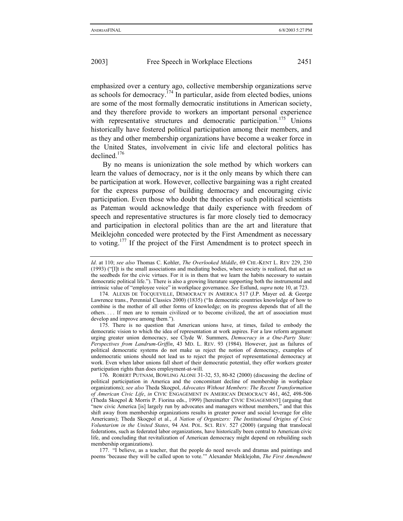emphasized over a century ago, collective membership organizations serve as schools for democracy.<sup>174</sup> In particular, aside from elected bodies, unions are some of the most formally democratic institutions in American society, and they therefore provide to workers an important personal experience with representative structures and democratic participation.<sup>175</sup> Unions historically have fostered political participation among their members, and as they and other membership organizations have become a weaker force in the United States, involvement in civic life and electoral politics has declined.<sup>176</sup>

By no means is unionization the sole method by which workers can learn the values of democracy, nor is it the only means by which there can be participation at work. However, collective bargaining was a right created for the express purpose of building democracy and encouraging civic participation. Even those who doubt the theories of such political scientists as Pateman would acknowledge that daily experience with freedom of speech and representative structures is far more closely tied to democracy and participation in electoral politics than are the art and literature that Meiklejohn conceded were protected by the First Amendment as necessary to voting.177 If the project of the First Amendment is to protect speech in

177. "I believe, as a teacher, that the people do need novels and dramas and paintings and poems 'because they will be called upon to vote.'" Alexander Meiklejohn, *The First Amendment* 

*Id*. at 110; *see also* Thomas C. Kohler, *The Overlooked Middle*, 69 CHI.-KENT L. REV 229, 230 (1993) ("[I]t is the small associations and mediating bodies, where society is realized, that act as the seedbeds for the civic virtues. For it is in them that we learn the habits necessary to sustain democratic political life."). There is also a growing literature supporting both the instrumental and intrinsic value of "employee voice" in workplace governance. *See* Estlund, *supra* note 10, at 723.

<sup>174.</sup> ALEXIS DE TOCQUEVILLE, DEMOCRACY IN AMERICA 517 (J.P. Mayer ed. & George Lawrence trans., Perennial Classics 2000) (1835) ("In democratic countries knowledge of how to combine is the mother of all other forms of knowledge; on its progress depends that of all the others. . . . If men are to remain civilized or to become civilized, the art of association must develop and improve among them.").

<sup>175.</sup> There is no question that American unions have, at times, failed to embody the democratic vision to which the idea of representation at work aspires. For a law reform argument urging greater union democracy, see Clyde W. Summers, *Democracy in a One-Party State: Perspectives from Landrum-Griffin*, 43 MD. L. REV. 93 (1984). However, just as failures of political democratic systems do not make us reject the notion of democracy, examples of undemocratic unions should not lead us to reject the project of representational democracy at work. Even when labor unions fall short of their democratic potential, they offer workers greater participation rights than does employment-at-will.

<sup>176.</sup> ROBERT PUTNAM, BOWLING ALONE 31-32, 53, 80-82 (2000) (discussing the decline of political participation in America and the concomitant decline of membership in workplace organizations); *see also* Theda Skoçpol, *Advocates Without Members: The Recent Transformation of American Civic Life*, *in* CIVIC ENGAGEMENT IN AMERICAN DEMOCRACY 461, 462, 498-506 (Theda Skoçpol & Morris P. Fiorina eds., 1999) [hereinafter CIVIC ENGAGEMENT] (arguing that "new civic America [is] largely run by advocates and managers without members," and that this shift away from membership organizations results in greater power and social leverage for elite Americans); Theda Skoçpol et al., *A Nation of Organizers: The Institutional Origins of Civic Voluntarism in the United States*, 94 AM. POL. SCI. REV. 527 (2000) (arguing that translocal federations, such as federated labor organizations, have historically been central to American civic life, and concluding that revitalization of American democracy might depend on rebuilding such membership organizations).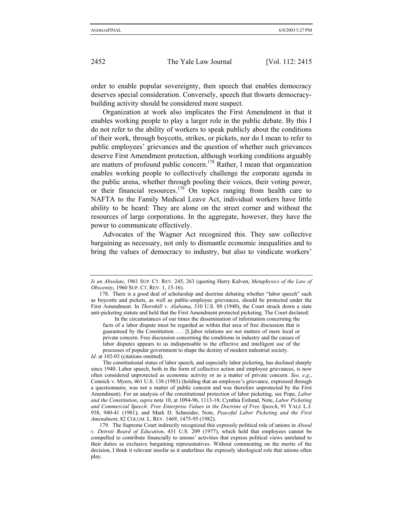order to enable popular sovereignty, then speech that enables democracy deserves special consideration. Conversely, speech that thwarts democracybuilding activity should be considered more suspect.

Organization at work also implicates the First Amendment in that it enables working people to play a larger role in the public debate. By this I do not refer to the ability of workers to speak publicly about the conditions of their work, through boycotts, strikes, or pickets, nor do I mean to refer to public employees' grievances and the question of whether such grievances deserve First Amendment protection, although working conditions arguably are matters of profound public concern.178 Rather, I mean that organization enables working people to collectively challenge the corporate agenda in the public arena, whether through pooling their voices, their voting power, or their financial resources.<sup>179</sup> On topics ranging from health care to NAFTA to the Family Medical Leave Act, individual workers have little ability to be heard: They are alone on the street corner and without the resources of large corporations. In the aggregate, however, they have the power to communicate effectively.

Advocates of the Wagner Act recognized this. They saw collective bargaining as necessary, not only to dismantle economic inequalities and to bring the values of democracy to industry, but also to vindicate workers'

*Id.* at 102-03 (citations omitted).

*Is an Absolute*, 1961 SUP. CT. REV. 245, 263 (quoting Harry Kalven, *Metaphysics of the Law of Obscenity*, 1960 SUP. CT. REV. 1, 15-16).

<sup>178.</sup> There is a good deal of scholarship and doctrine debating whether "labor speech" such as boycotts and pickets, as well as public-employee grievances, should be protected under the First Amendment. In *Thornhill v*. *Alabama*, 310 U.S. 88 (1940), the Court struck down a state anti-picketing statute and held that the First Amendment protected picketing. The Court declared:

In the circumstances of our times the dissemination of information concerning the facts of a labor dispute must be regarded as within that area of free discussion that is guaranteed by the Constitution. . . . [L]abor relations are not matters of mere local or private concern. Free discussion concerning the conditions in industry and the causes of labor disputes appears to us indispensable to the effective and intelligent use of the processes of popular government to shape the destiny of modern industrial society.

The constitutional status of labor speech, and especially labor picketing, has declined sharply since 1940. Labor speech, both in the form of collective action and employee grievances, is now often considered unprotected as economic activity or as a matter of private concern. *See, e*.*g*., Connick v. Myers, 461 U.S. 138 (1983) (holding that an employee's grievance, expressed through a questionnaire, was not a matter of public concern and was therefore unprotected by the First Amendment). For an analysis of the constitutional protection of labor picketing, see Pope, *Labor and the Constitution*, *supra* note 10, at 1094-96, 1113-18; Cynthia Estlund, Note, *Labor Picketing and Commercial Speech: Free Enterprise Values in the Doctrine of Free Speech*, 91 YALE L.J. 938, 940-41 (1981); and Mark D. Schneider, Note, *Peaceful Labor Picketing and the First Amendment*, 82 COLUM. L. REV. 1469, 1475-95 (1982).

<sup>179.</sup> The Supreme Court indirectly recognized this expressly political role of unions in *Abood v*. *Detroit Board of Education*, 431 U.S. 209 (1977), which held that employees cannot be compelled to contribute financially to unions' activities that express political views unrelated to their duties as exclusive bargaining representatives. Without commenting on the merits of the decision, I think it relevant insofar as it underlines the expressly ideological role that unions often play.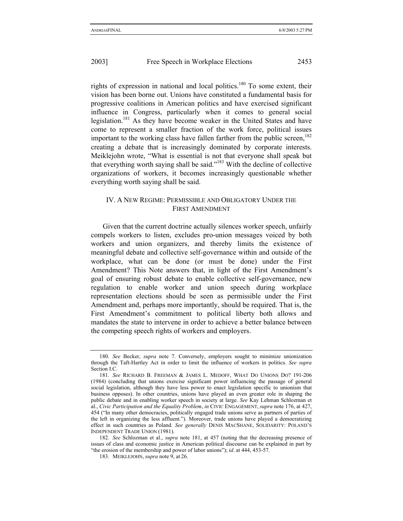rights of expression in national and local politics.<sup>180</sup> To some extent, their vision has been borne out. Unions have constituted a fundamental basis for progressive coalitions in American politics and have exercised significant influence in Congress, particularly when it comes to general social legislation.181 As they have become weaker in the United States and have come to represent a smaller fraction of the work force, political issues important to the working class have fallen farther from the public screen,<sup>182</sup> creating a debate that is increasingly dominated by corporate interests. Meiklejohn wrote, "What is essential is not that everyone shall speak but that everything worth saying shall be said."183 With the decline of collective organizations of workers, it becomes increasingly questionable whether everything worth saying shall be said.

## IV. A NEW REGIME: PERMISSIBLE AND OBLIGATORY UNDER THE FIRST AMENDMENT

Given that the current doctrine actually silences worker speech, unfairly compels workers to listen, excludes pro-union messages voiced by both workers and union organizers, and thereby limits the existence of meaningful debate and collective self-governance within and outside of the workplace, what can be done (or must be done) under the First Amendment? This Note answers that, in light of the First Amendment's goal of ensuring robust debate to enable collective self-governance, new regulation to enable worker and union speech during workplace representation elections should be seen as permissible under the First Amendment and, perhaps more importantly, should be required. That is, the First Amendment's commitment to political liberty both allows and mandates the state to intervene in order to achieve a better balance between the competing speech rights of workers and employers.

<sup>180.</sup> *See* Becker, *supra* note 7. Conversely, employers sought to minimize unionization through the Taft-Hartley Act in order to limit the influence of workers in politics. *See supra*  Section I.C.

<sup>181.</sup> *See* RICHARD B. FREEMAN & JAMES L. MEDOFF, WHAT DO UNIONS DO? 191-206 (1984) (concluding that unions exercise significant power influencing the passage of general social legislation, although they have less power to enact legislation specific to unionism that business opposes). In other countries, unions have played an even greater role in shaping the public debate and in enabling worker speech in society at large. *See* Kay Lehman Schlozman et al., *Civic Participation and the Equality Problem*, *in* CIVIC ENGAGEMENT, *supra* note 176, at 427, 454 ("In many other democracies, politically engaged trade unions serve as partners of parties of the left in organizing the less affluent."). Moreover, trade unions have played a democratizing effect in such countries as Poland. *See generally* DENIS MACSHANE, SOLIDARITY: POLAND'S INDEPENDENT TRADE UNION (1981).

<sup>182.</sup> *See* Schlozman et al., *supra* note 181, at 457 (noting that the decreasing presence of issues of class and economic justice in American political discourse can be explained in part by "the erosion of the membership and power of labor unions"); *id*. at 444, 453-57.

<sup>183.</sup> MEIKLEJOHN, *supra* note 9, at 26.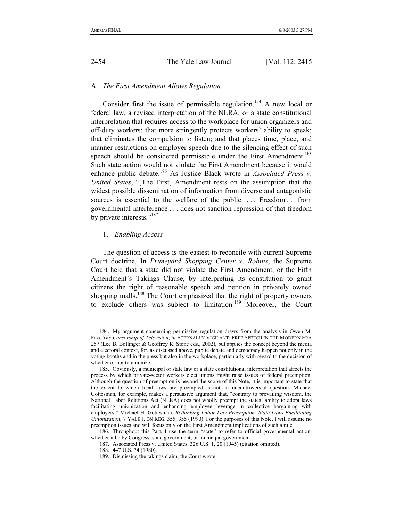# A. *The First Amendment Allows Regulation*

Consider first the issue of permissible regulation.<sup>184</sup> A new local or federal law, a revised interpretation of the NLRA, or a state constitutional interpretation that requires access to the workplace for union organizers and off-duty workers; that more stringently protects workers' ability to speak; that eliminates the compulsion to listen; and that places time, place, and manner restrictions on employer speech due to the silencing effect of such speech should be considered permissible under the First Amendment.<sup>185</sup> Such state action would not violate the First Amendment because it would enhance public debate.186 As Justice Black wrote in *Associated Press v*. *United States*, "[The First] Amendment rests on the assumption that the widest possible dissemination of information from diverse and antagonistic sources is essential to the welfare of the public .... Freedom ... from governmental interference . . . does not sanction repression of that freedom by private interests."<sup>187</sup>

## 1. *Enabling Access*

The question of access is the easiest to reconcile with current Supreme Court doctrine. In *Pruneyard Shopping Center v*. *Robins*, the Supreme Court held that a state did not violate the First Amendment, or the Fifth Amendment's Takings Clause, by interpreting its constitution to grant citizens the right of reasonable speech and petition in privately owned shopping malls.<sup>188</sup> The Court emphasized that the right of property owners to exclude others was subject to limitation.<sup>189</sup> Moreover, the Court

<sup>184.</sup> My argument concerning permissive regulation draws from the analysis in Owen M. Fiss, *The Censorship of Television*, *in* ETERNALLY VIGILANT: FREE SPEECH IN THE MODERN ERA 257 (Lee B. Bollinger & Geoffrey R. Stone eds., 2002), but applies the concept beyond the media and electoral context, for, as discussed above, public debate and democracy happen not only in the voting booths and in the press but also in the workplace, particularly with regard to the decision of whether or not to unionize.

<sup>185.</sup> Obviously, a municipal or state law or a state constitutional interpretation that affects the process by which private-sector workers elect unions might raise issues of federal preemption. Although the question of preemption is beyond the scope of this Note, it is important to state that the extent to which local laws are preempted is not an uncontroversial question. Michael Gottesman, for example, makes a persuasive argument that, "contrary to prevailing wisdom, the National Labor Relations Act (NLRA) does not wholly preempt the states' ability to adopt laws facilitating unionization and enhancing employee leverage in collective bargaining with employers." Michael H. Gottesman, *Rethinking Labor Law Preemption: State Laws Facilitating Unionization*, 7 YALE J. ON REG. 355, 355 (1990). For the purposes of this Note, I will assume no preemption issues and will focus only on the First Amendment implications of such a rule.

<sup>186.</sup> Throughout this Part, I use the term "state" to refer to official governmental action, whether it be by Congress, state government, or municipal government.

<sup>187.</sup> Associated Press v. United States, 326 U.S. 1, 20 (1945) (citation omitted).

<sup>188. 447</sup> U.S. 74 (1980).

<sup>189.</sup> Dismissing the takings claim, the Court wrote: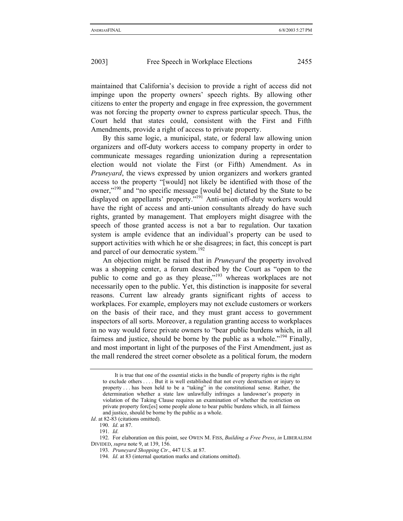maintained that California's decision to provide a right of access did not impinge upon the property owners' speech rights. By allowing other citizens to enter the property and engage in free expression, the government was not forcing the property owner to express particular speech. Thus, the Court held that states could, consistent with the First and Fifth Amendments, provide a right of access to private property.

By this same logic, a municipal, state, or federal law allowing union organizers and off-duty workers access to company property in order to communicate messages regarding unionization during a representation election would not violate the First (or Fifth) Amendment. As in *Pruneyard*, the views expressed by union organizers and workers granted access to the property "[would] not likely be identified with those of the owner,"190 and "no specific message [would be] dictated by the State to be displayed on appellants' property."191 Anti-union off-duty workers would have the right of access and anti-union consultants already do have such rights, granted by management. That employers might disagree with the speech of those granted access is not a bar to regulation. Our taxation system is ample evidence that an individual's property can be used to support activities with which he or she disagrees; in fact, this concept is part and parcel of our democratic system.<sup>192</sup>

An objection might be raised that in *Pruneyard* the property involved was a shopping center, a forum described by the Court as "open to the public to come and go as they please,"<sup>193</sup> whereas workplaces are not necessarily open to the public. Yet, this distinction is inapposite for several reasons. Current law already grants significant rights of access to workplaces. For example, employers may not exclude customers or workers on the basis of their race, and they must grant access to government inspectors of all sorts. Moreover, a regulation granting access to workplaces in no way would force private owners to "bear public burdens which, in all fairness and justice, should be borne by the public as a whole.<sup> $194$ </sup> Finally, and most important in light of the purposes of the First Amendment, just as the mall rendered the street corner obsolete as a political forum, the modern

It is true that one of the essential sticks in the bundle of property rights is the right to exclude others . . . . But it is well established that not every destruction or injury to property . . . has been held to be a "taking" in the constitutional sense. Rather, the determination whether a state law unlawfully infringes a landowner's property in violation of the Taking Clause requires an examination of whether the restriction on private property forc[es] some people alone to bear public burdens which, in all fairness and justice, should be borne by the public as a whole.

*Id.* at 82-83 (citations omitted).

<sup>190.</sup> *Id*. at 87.

<sup>191.</sup> *Id*.

<sup>192.</sup> For elaboration on this point, see OWEN M. FISS, *Building a Free Press*, *in* LIBERALISM DIVIDED, *supra* note 9, at 139, 156.

<sup>193.</sup> *Pruneyard Shopping Ctr*., 447 U.S. at 87.

<sup>194.</sup> *Id*. at 83 (internal quotation marks and citations omitted).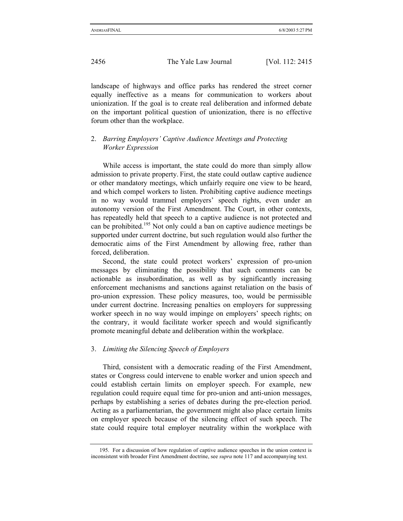landscape of highways and office parks has rendered the street corner equally ineffective as a means for communication to workers about unionization. If the goal is to create real deliberation and informed debate on the important political question of unionization, there is no effective forum other than the workplace.

## 2. *Barring Employers' Captive Audience Meetings and Protecting Worker Expression*

While access is important, the state could do more than simply allow admission to private property. First, the state could outlaw captive audience or other mandatory meetings, which unfairly require one view to be heard, and which compel workers to listen. Prohibiting captive audience meetings in no way would trammel employers' speech rights, even under an autonomy version of the First Amendment. The Court, in other contexts, has repeatedly held that speech to a captive audience is not protected and can be prohibited.<sup>195</sup> Not only could a ban on captive audience meetings be supported under current doctrine, but such regulation would also further the democratic aims of the First Amendment by allowing free, rather than forced, deliberation.

Second, the state could protect workers' expression of pro-union messages by eliminating the possibility that such comments can be actionable as insubordination, as well as by significantly increasing enforcement mechanisms and sanctions against retaliation on the basis of pro-union expression. These policy measures, too, would be permissible under current doctrine. Increasing penalties on employers for suppressing worker speech in no way would impinge on employers' speech rights; on the contrary, it would facilitate worker speech and would significantly promote meaningful debate and deliberation within the workplace.

#### 3. *Limiting the Silencing Speech of Employers*

Third, consistent with a democratic reading of the First Amendment, states or Congress could intervene to enable worker and union speech and could establish certain limits on employer speech. For example, new regulation could require equal time for pro-union and anti-union messages, perhaps by establishing a series of debates during the pre-election period. Acting as a parliamentarian, the government might also place certain limits on employer speech because of the silencing effect of such speech. The state could require total employer neutrality within the workplace with

<sup>195.</sup> For a discussion of how regulation of captive audience speeches in the union context is inconsistent with broader First Amendment doctrine, see *supra* note 117 and accompanying text.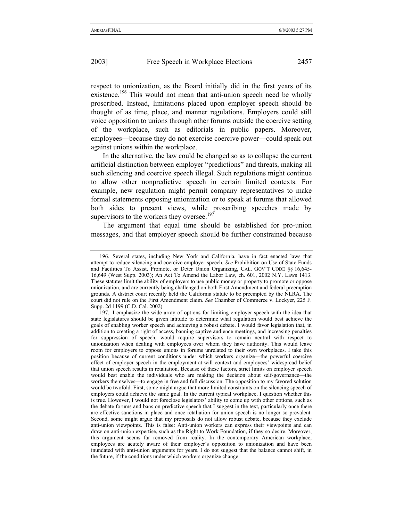respect to unionization, as the Board initially did in the first years of its existence.<sup>196</sup> This would not mean that anti-union speech need be wholly proscribed. Instead, limitations placed upon employer speech should be thought of as time, place, and manner regulations. Employers could still voice opposition to unions through other forums outside the coercive setting of the workplace, such as editorials in public papers. Moreover, employees—because they do not exercise coercive power—could speak out against unions within the workplace.

In the alternative, the law could be changed so as to collapse the current artificial distinction between employer "predictions" and threats, making all such silencing and coercive speech illegal. Such regulations might continue to allow other nonpredictive speech in certain limited contexts. For example, new regulation might permit company representatives to make formal statements opposing unionization or to speak at forums that allowed both sides to present views, while proscribing speeches made by supervisors to the workers they oversee.<sup>197</sup>

The argument that equal time should be established for pro-union messages, and that employer speech should be further constrained because

<sup>196.</sup> Several states, including New York and California, have in fact enacted laws that attempt to reduce silencing and coercive employer speech. *See* Prohibition on Use of State Funds and Facilities To Assist, Promote, or Deter Union Organizing, CAL. GOV'T CODE §§ 16,645- 16,649 (West Supp. 2003); An Act To Amend the Labor Law, ch. 601, 2002 N.Y. Laws 1413. These statutes limit the ability of employers to use public money or property to promote or oppose unionization, and are currently being challenged on both First Amendment and federal preemption grounds. A district court recently held the California statute to be preempted by the NLRA. The court did not rule on the First Amendment claim. *See* Chamber of Commerce v. Lockyer, 225 F. Supp. 2d 1199 (C.D. Cal. 2002).

<sup>197.</sup> I emphasize the wide array of options for limiting employer speech with the idea that state legislatures should be given latitude to determine what regulation would best achieve the goals of enabling worker speech and achieving a robust debate. I would favor legislation that, in addition to creating a right of access, banning captive audience meetings, and increasing penalties for suppression of speech, would require supervisors to remain neutral with respect to unionization when dealing with employees over whom they have authority. This would leave room for employers to oppose unions in forums unrelated to their own workplaces. I take this position because of current conditions under which workers organize—the powerful coercive effect of employer speech in the employment-at-will context and employees' widespread belief that union speech results in retaliation. Because of these factors, strict limits on employer speech would best enable the individuals who are making the decision about self-governance—the workers themselves—to engage in free and full discussion. The opposition to my favored solution would be twofold. First, some might argue that more limited constraints on the silencing speech of employers could achieve the same goal. In the current typical workplace, I question whether this is true. However, I would not foreclose legislators' ability to come up with other options, such as the debate forums and bans on predictive speech that I suggest in the text, particularly once there are effective sanctions in place and once retaliation for union speech is no longer so prevalent. Second, some might argue that my proposals do not allow robust debate, because they exclude anti-union viewpoints. This is false: Anti-union workers can express their viewpoints and can draw on anti-union expertise, such as the Right to Work Foundation, if they so desire. Moreover, this argument seems far removed from reality. In the contemporary American workplace, employees are acutely aware of their employer's opposition to unionization and have been inundated with anti-union arguments for years. I do not suggest that the balance cannot shift, in the future, if the conditions under which workers organize change.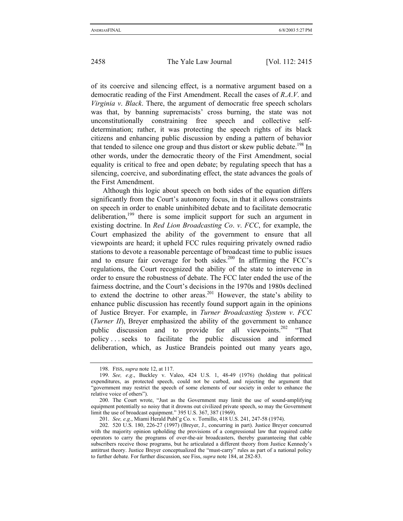of its coercive and silencing effect, is a normative argument based on a democratic reading of the First Amendment. Recall the cases of *R*.*A*.*V*. and *Virginia v*. *Black*. There, the argument of democratic free speech scholars was that, by banning supremacists' cross burning, the state was not unconstitutionally constraining free speech and collective selfdetermination; rather, it was protecting the speech rights of its black citizens and enhancing public discussion by ending a pattern of behavior that tended to silence one group and thus distort or skew public debate.<sup>198</sup> In other words, under the democratic theory of the First Amendment, social equality is critical to free and open debate; by regulating speech that has a silencing, coercive, and subordinating effect, the state advances the goals of the First Amendment.

Although this logic about speech on both sides of the equation differs significantly from the Court's autonomy focus, in that it allows constraints on speech in order to enable uninhibited debate and to facilitate democratic deliberation,<sup>199</sup> there is some implicit support for such an argument in existing doctrine. In *Red Lion Broadcasting Co*. *v*. *FCC*, for example, the Court emphasized the ability of the government to ensure that all viewpoints are heard; it upheld FCC rules requiring privately owned radio stations to devote a reasonable percentage of broadcast time to public issues and to ensure fair coverage for both sides.<sup>200</sup> In affirming the FCC's regulations, the Court recognized the ability of the state to intervene in order to ensure the robustness of debate. The FCC later ended the use of the fairness doctrine, and the Court's decisions in the 1970s and 1980s declined to extend the doctrine to other areas.<sup>201</sup> However, the state's ability to enhance public discussion has recently found support again in the opinions of Justice Breyer. For example, in *Turner Broadcasting System v*. *FCC*  (*Turner II*), Breyer emphasized the ability of the government to enhance public discussion and to provide for all viewpoints.<sup>202</sup> "That policy . . . seeks to facilitate the public discussion and informed deliberation, which, as Justice Brandeis pointed out many years ago,

<sup>198.</sup> FISS, *supra* note 12, at 117.

<sup>199.</sup> *See, e*.*g*., Buckley v. Valeo, 424 U.S. 1, 48-49 (1976) (holding that political expenditures, as protected speech, could not be curbed, and rejecting the argument that "government may restrict the speech of some elements of our society in order to enhance the relative voice of others").

<sup>200.</sup> The Court wrote, "Just as the Government may limit the use of sound-amplifying equipment potentially so noisy that it drowns out civilized private speech, so may the Government limit the use of broadcast equipment." 395 U.S. 367, 387 (1969).

<sup>201.</sup> *See, e*.*g*., Miami Herald Publ'g Co. v. Tornillo, 418 U.S. 241, 247-58 (1974).

<sup>202. 520</sup> U.S. 180, 226-27 (1997) (Breyer, J., concurring in part). Justice Breyer concurred with the majority opinion upholding the provisions of a congressional law that required cable operators to carry the programs of over-the-air broadcasters, thereby guaranteeing that cable subscribers receive those programs, but he articulated a different theory from Justice Kennedy's antitrust theory. Justice Breyer conceptualized the "must-carry" rules as part of a national policy to further debate. For further discussion, see Fiss, *supra* note 184, at 282-83.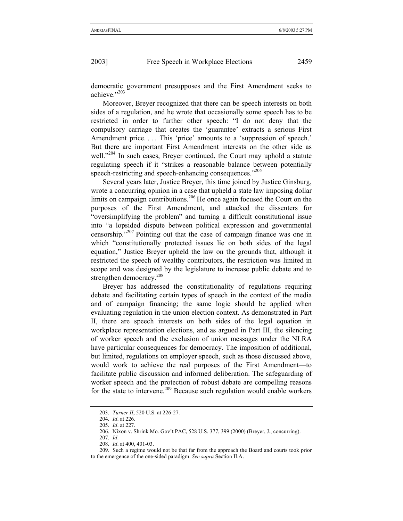democratic government presupposes and the First Amendment seeks to achieve."203

Moreover, Breyer recognized that there can be speech interests on both sides of a regulation, and he wrote that occasionally some speech has to be restricted in order to further other speech: "I do not deny that the compulsory carriage that creates the 'guarantee' extracts a serious First Amendment price.... This 'price' amounts to a 'suppression of speech.' But there are important First Amendment interests on the other side as well."<sup>204</sup> In such cases, Breyer continued, the Court may uphold a statute regulating speech if it "strikes a reasonable balance between potentially speech-restricting and speech-enhancing consequences."<sup>205</sup>

Several years later, Justice Breyer, this time joined by Justice Ginsburg, wrote a concurring opinion in a case that upheld a state law imposing dollar limits on campaign contributions.<sup>206</sup> He once again focused the Court on the purposes of the First Amendment, and attacked the dissenters for "oversimplifying the problem" and turning a difficult constitutional issue into "a lopsided dispute between political expression and governmental censorship."207 Pointing out that the case of campaign finance was one in which "constitutionally protected issues lie on both sides of the legal equation," Justice Breyer upheld the law on the grounds that, although it restricted the speech of wealthy contributors, the restriction was limited in scope and was designed by the legislature to increase public debate and to strengthen democracy.<sup>208</sup>

Breyer has addressed the constitutionality of regulations requiring debate and facilitating certain types of speech in the context of the media and of campaign financing; the same logic should be applied when evaluating regulation in the union election context. As demonstrated in Part II, there are speech interests on both sides of the legal equation in workplace representation elections, and as argued in Part III, the silencing of worker speech and the exclusion of union messages under the NLRA have particular consequences for democracy. The imposition of additional, but limited, regulations on employer speech, such as those discussed above, would work to achieve the real purposes of the First Amendment—to facilitate public discussion and informed deliberation. The safeguarding of worker speech and the protection of robust debate are compelling reasons for the state to intervene.<sup>209</sup> Because such regulation would enable workers

<sup>203.</sup> *Turner II*, 520 U.S. at 226-27.

<sup>204.</sup> *Id*. at 226.

<sup>205.</sup> *Id*. at 227.

<sup>206.</sup> Nixon v. Shrink Mo. Gov't PAC, 528 U.S. 377, 399 (2000) (Breyer, J., concurring).

<sup>207.</sup> *Id*.

<sup>208.</sup> *Id*. at 400, 401-03.

<sup>209.</sup> Such a regime would not be that far from the approach the Board and courts took prior to the emergence of the one-sided paradigm. *See supra* Section II.A.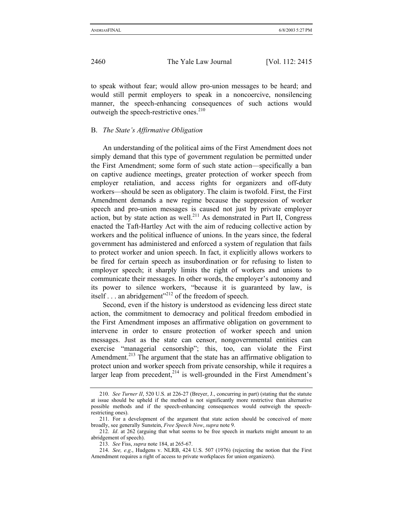to speak without fear; would allow pro-union messages to be heard; and would still permit employers to speak in a noncoercive, nonsilencing manner, the speech-enhancing consequences of such actions would outweigh the speech-restrictive ones. $210$ 

### B. *The State's Affirmative Obligation*

An understanding of the political aims of the First Amendment does not simply demand that this type of government regulation be permitted under the First Amendment; some form of such state action—specifically a ban on captive audience meetings, greater protection of worker speech from employer retaliation, and access rights for organizers and off-duty workers—should be seen as obligatory. The claim is twofold. First, the First Amendment demands a new regime because the suppression of worker speech and pro-union messages is caused not just by private employer action, but by state action as well.<sup>211</sup> As demonstrated in Part II, Congress enacted the Taft-Hartley Act with the aim of reducing collective action by workers and the political influence of unions. In the years since, the federal government has administered and enforced a system of regulation that fails to protect worker and union speech. In fact, it explicitly allows workers to be fired for certain speech as insubordination or for refusing to listen to employer speech; it sharply limits the right of workers and unions to communicate their messages. In other words, the employer's autonomy and its power to silence workers, "because it is guaranteed by law, is itself  $\ldots$  an abridgement"<sup>212</sup> of the freedom of speech.

Second, even if the history is understood as evidencing less direct state action, the commitment to democracy and political freedom embodied in the First Amendment imposes an affirmative obligation on government to intervene in order to ensure protection of worker speech and union messages. Just as the state can censor, nongovernmental entities can exercise "managerial censorship"; this, too, can violate the First Amendment.<sup>213</sup> The argument that the state has an affirmative obligation to protect union and worker speech from private censorship, while it requires a larger leap from precedent, $2^{14}$  is well-grounded in the First Amendment's

<sup>210.</sup> *See Turner II*, 520 U.S. at 226-27 (Breyer, J., concurring in part) (stating that the statute at issue should be upheld if the method is not significantly more restrictive than alternative possible methods and if the speech-enhancing consequences would outweigh the speechrestricting ones).

<sup>211.</sup> For a development of the argument that state action should be conceived of more broadly, see generally Sunstein, *Free Speech Now*, *supra* note 9.

<sup>212.</sup> *Id*. at 262 (arguing that what seems to be free speech in markets might amount to an abridgement of speech).

<sup>213.</sup> *See* Fiss, *supra* note 184, at 265-67.

<sup>214.</sup> *See, e*.*g*., Hudgens v. NLRB, 424 U.S. 507 (1976) (rejecting the notion that the First Amendment requires a right of access to private workplaces for union organizers).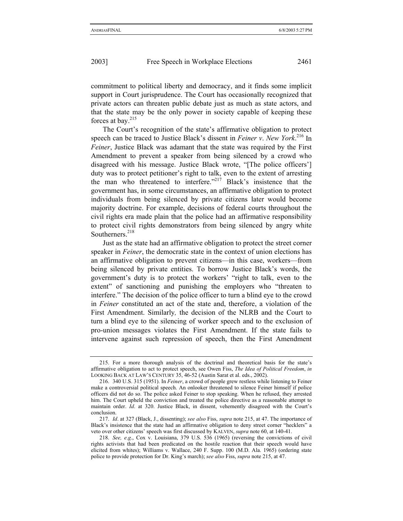commitment to political liberty and democracy, and it finds some implicit support in Court jurisprudence. The Court has occasionally recognized that private actors can threaten public debate just as much as state actors, and that the state may be the only power in society capable of keeping these forces at bay. $215$ 

The Court's recognition of the state's affirmative obligation to protect speech can be traced to Justice Black's dissent in *Feiner v*. *New York*. 216 In *Feiner*, Justice Black was adamant that the state was required by the First Amendment to prevent a speaker from being silenced by a crowd who disagreed with his message. Justice Black wrote, "[The police officers'] duty was to protect petitioner's right to talk, even to the extent of arresting the man who threatened to interfere."217 Black's insistence that the government has, in some circumstances, an affirmative obligation to protect individuals from being silenced by private citizens later would become majority doctrine. For example, decisions of federal courts throughout the civil rights era made plain that the police had an affirmative responsibility to protect civil rights demonstrators from being silenced by angry white Southerners.<sup>218</sup>

Just as the state had an affirmative obligation to protect the street corner speaker in *Feiner*, the democratic state in the context of union elections has an affirmative obligation to prevent citizens—in this case, workers—from being silenced by private entities. To borrow Justice Black's words, the government's duty is to protect the workers' "right to talk, even to the extent" of sanctioning and punishing the employers who "threaten to interfere." The decision of the police officer to turn a blind eye to the crowd in *Feiner* constituted an act of the state and, therefore, a violation of the First Amendment. Similarly*,* the decision of the NLRB and the Court to turn a blind eye to the silencing of worker speech and to the exclusion of pro-union messages violates the First Amendment. If the state fails to intervene against such repression of speech, then the First Amendment

<sup>215.</sup> For a more thorough analysis of the doctrinal and theoretical basis for the state's affirmative obligation to act to protect speech, see Owen Fiss, *The Idea of Political Freedom*, *in*  LOOKING BACK AT LAW'S CENTURY 35, 46-52 (Austin Sarat et al. eds., 2002).

<sup>216. 340</sup> U.S. 315 (1951). In *Feiner*, a crowd of people grew restless while listening to Feiner make a controversial political speech. An onlooker threatened to silence Feiner himself if police officers did not do so. The police asked Feiner to stop speaking. When he refused, they arrested him. The Court upheld the conviction and treated the police directive as a reasonable attempt to maintain order. *Id*. at 320. Justice Black, in dissent, vehemently disagreed with the Court's conclusion.

<sup>217.</sup> *Id*. at 327 (Black, J., dissenting); *see also* Fiss, *supra* note 215, at 47. The importance of Black's insistence that the state had an affirmative obligation to deny street corner "hecklers" a veto over other citizens' speech was first discussed by KALVEN, *supra* note 60, at 140-41.

<sup>218.</sup> *See, e*.*g*., Cox v. Louisiana, 379 U.S. 536 (1965) (reversing the convictions of civil rights activists that had been predicated on the hostile reaction that their speech would have elicited from whites); Williams v. Wallace, 240 F. Supp. 100 (M.D. Ala. 1965) (ordering state police to provide protection for Dr. King's march); *see also* Fiss, *supra* note 215, at 47.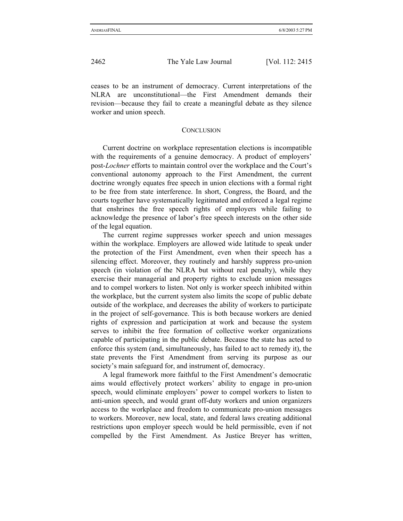ceases to be an instrument of democracy. Current interpretations of the NLRA are unconstitutional—the First Amendment demands their revision—because they fail to create a meaningful debate as they silence worker and union speech.

#### **CONCLUSION**

Current doctrine on workplace representation elections is incompatible with the requirements of a genuine democracy. A product of employers' post-*Lochner* efforts to maintain control over the workplace and the Court's conventional autonomy approach to the First Amendment, the current doctrine wrongly equates free speech in union elections with a formal right to be free from state interference. In short, Congress, the Board, and the courts together have systematically legitimated and enforced a legal regime that enshrines the free speech rights of employers while failing to acknowledge the presence of labor's free speech interests on the other side of the legal equation.

The current regime suppresses worker speech and union messages within the workplace. Employers are allowed wide latitude to speak under the protection of the First Amendment, even when their speech has a silencing effect. Moreover, they routinely and harshly suppress pro-union speech (in violation of the NLRA but without real penalty), while they exercise their managerial and property rights to exclude union messages and to compel workers to listen. Not only is worker speech inhibited within the workplace, but the current system also limits the scope of public debate outside of the workplace, and decreases the ability of workers to participate in the project of self-governance. This is both because workers are denied rights of expression and participation at work and because the system serves to inhibit the free formation of collective worker organizations capable of participating in the public debate. Because the state has acted to enforce this system (and, simultaneously, has failed to act to remedy it), the state prevents the First Amendment from serving its purpose as our society's main safeguard for, and instrument of, democracy.

A legal framework more faithful to the First Amendment's democratic aims would effectively protect workers' ability to engage in pro-union speech, would eliminate employers' power to compel workers to listen to anti-union speech, and would grant off-duty workers and union organizers access to the workplace and freedom to communicate pro-union messages to workers. Moreover, new local, state, and federal laws creating additional restrictions upon employer speech would be held permissible, even if not compelled by the First Amendment. As Justice Breyer has written,